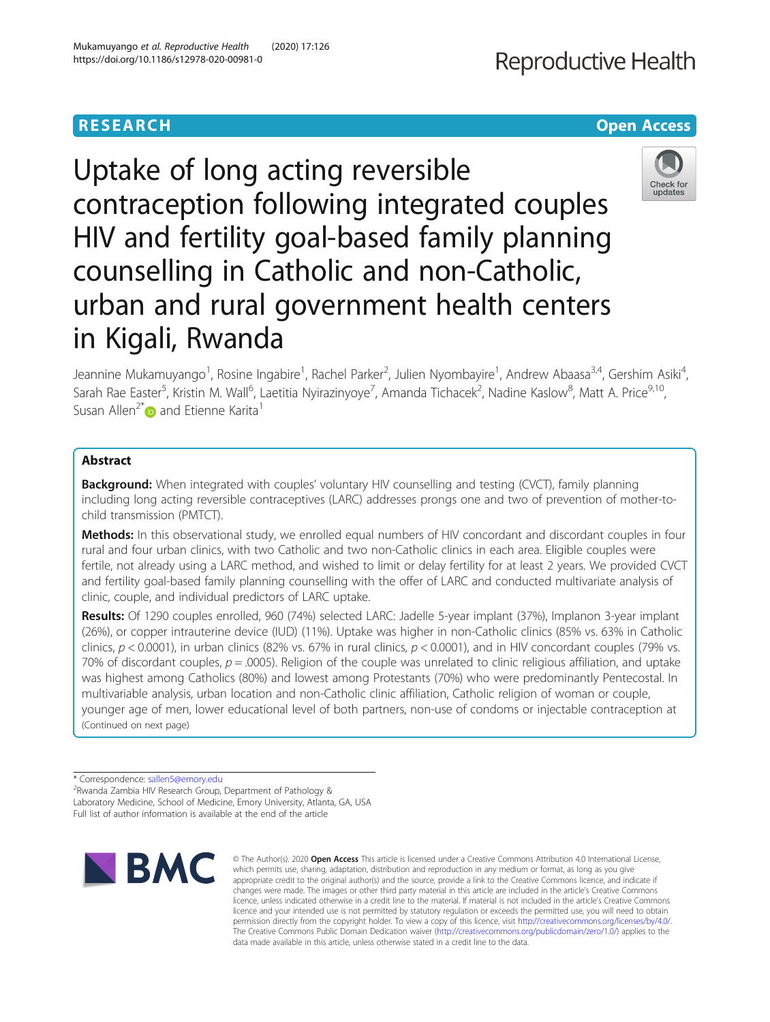# Uptake of long acting reversible contraception following integrated couples HIV and fertility goal-based family planning counselling in Catholic and non-Catholic, urban and rural government health centers in Kigali, Rwanda

Jeannine Mukamuyango<sup>1</sup>, Rosine Ingabire<sup>1</sup>, Rachel Parker<sup>2</sup>, Julien Nyombayire<sup>1</sup>, Andrew Abaasa<sup>3,4</sup>, Gershim Asiki<sup>4</sup> , Sarah Rae Easter<sup>5</sup>, Kristin M. Wall<sup>6</sup>, Laetitia Nyirazinyoye<sup>7</sup>, Amanda Tichacek<sup>2</sup>, Nadine Kaslow<sup>8</sup>, Matt A. Price<sup>9,10</sup>, Susan Allen<sup>2\*</sup> and Etienne Karita<sup>1</sup>

# Abstract

**Background:** When integrated with couples' voluntary HIV counselling and testing (CVCT), family planning including long acting reversible contraceptives (LARC) addresses prongs one and two of prevention of mother-tochild transmission (PMTCT).

Methods: In this observational study, we enrolled equal numbers of HIV concordant and discordant couples in four rural and four urban clinics, with two Catholic and two non-Catholic clinics in each area. Eligible couples were fertile, not already using a LARC method, and wished to limit or delay fertility for at least 2 years. We provided CVCT and fertility goal-based family planning counselling with the offer of LARC and conducted multivariate analysis of clinic, couple, and individual predictors of LARC uptake.

Results: Of 1290 couples enrolled, 960 (74%) selected LARC: Jadelle 5-year implant (37%), Implanon 3-year implant (26%), or copper intrauterine device (IUD) (11%). Uptake was higher in non-Catholic clinics (85% vs. 63% in Catholic clinics,  $p < 0.0001$ ), in urban clinics (82% vs. 67% in rural clinics,  $p < 0.0001$ ), and in HIV concordant couples (79% vs. 70% of discordant couples,  $p = .0005$ ). Religion of the couple was unrelated to clinic religious affiliation, and uptake was highest among Catholics (80%) and lowest among Protestants (70%) who were predominantly Pentecostal. In multivariable analysis, urban location and non-Catholic clinic affiliation, Catholic religion of woman or couple, younger age of men, lower educational level of both partners, non-use of condoms or injectable contraception at (Continued on next page)

\* Correspondence: [sallen5@emory.edu](mailto:sallen5@emory.edu) <sup>2</sup>

<sup>2</sup>Rwanda Zambia HIV Research Group, Department of Pathology & Laboratory Medicine, School of Medicine, Emory University, Atlanta, GA, USA Full list of author information is available at the end of the article



© The Author(s), 2020 **Open Access** This article is licensed under a Creative Commons Attribution 4.0 International License, which permits use, sharing, adaptation, distribution and reproduction in any medium or format, as long as you give appropriate credit to the original author(s) and the source, provide a link to the Creative Commons licence, and indicate if changes were made. The images or other third party material in this article are included in the article's Creative Commons licence, unless indicated otherwise in a credit line to the material. If material is not included in the article's Creative Commons licence and your intended use is not permitted by statutory regulation or exceeds the permitted use, you will need to obtain permission directly from the copyright holder. To view a copy of this licence, visit [http://creativecommons.org/licenses/by/4.0/.](http://creativecommons.org/licenses/by/4.0/) The Creative Commons Public Domain Dedication waiver [\(http://creativecommons.org/publicdomain/zero/1.0/](http://creativecommons.org/publicdomain/zero/1.0/)) applies to the data made available in this article, unless otherwise stated in a credit line to the data.



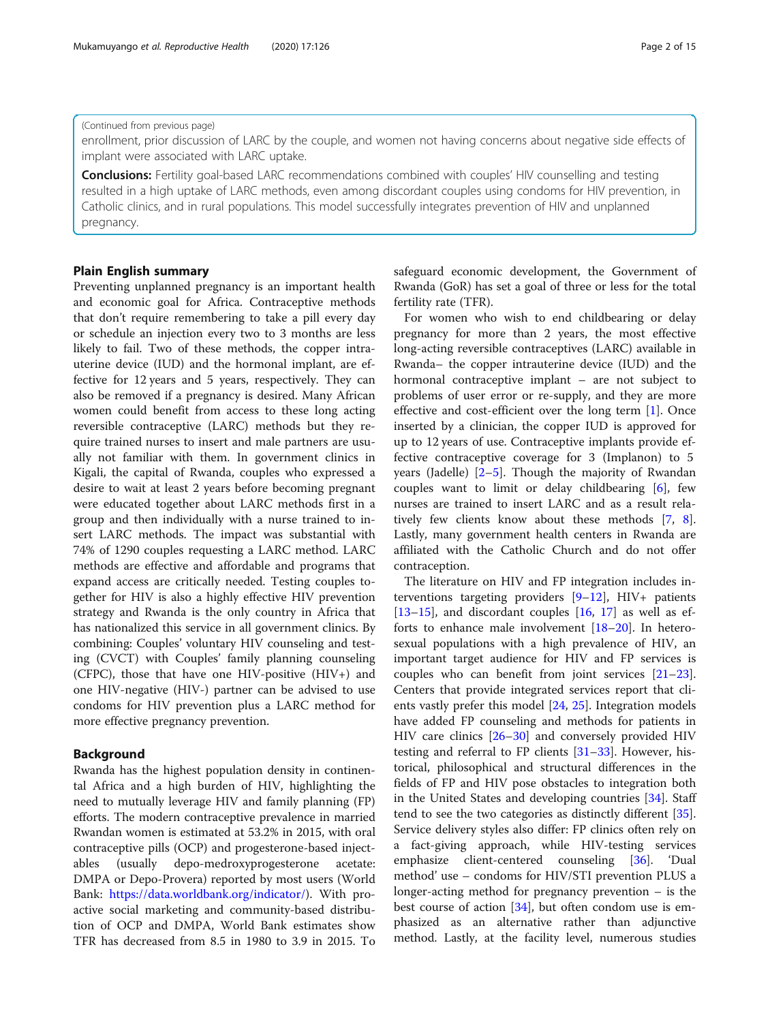#### (Continued from previous page)

enrollment, prior discussion of LARC by the couple, and women not having concerns about negative side effects of implant were associated with LARC uptake.

Conclusions: Fertility goal-based LARC recommendations combined with couples' HIV counselling and testing resulted in a high uptake of LARC methods, even among discordant couples using condoms for HIV prevention, in Catholic clinics, and in rural populations. This model successfully integrates prevention of HIV and unplanned pregnancy.

# Plain English summary

Preventing unplanned pregnancy is an important health and economic goal for Africa. Contraceptive methods that don't require remembering to take a pill every day or schedule an injection every two to 3 months are less likely to fail. Two of these methods, the copper intrauterine device (IUD) and the hormonal implant, are effective for 12 years and 5 years, respectively. They can also be removed if a pregnancy is desired. Many African women could benefit from access to these long acting reversible contraceptive (LARC) methods but they require trained nurses to insert and male partners are usually not familiar with them. In government clinics in Kigali, the capital of Rwanda, couples who expressed a desire to wait at least 2 years before becoming pregnant were educated together about LARC methods first in a group and then individually with a nurse trained to insert LARC methods. The impact was substantial with 74% of 1290 couples requesting a LARC method. LARC methods are effective and affordable and programs that expand access are critically needed. Testing couples together for HIV is also a highly effective HIV prevention strategy and Rwanda is the only country in Africa that has nationalized this service in all government clinics. By combining: Couples' voluntary HIV counseling and testing (CVCT) with Couples' family planning counseling (CFPC), those that have one HIV-positive (HIV+) and one HIV-negative (HIV-) partner can be advised to use condoms for HIV prevention plus a LARC method for more effective pregnancy prevention.

# Background

Rwanda has the highest population density in continental Africa and a high burden of HIV, highlighting the need to mutually leverage HIV and family planning (FP) efforts. The modern contraceptive prevalence in married Rwandan women is estimated at 53.2% in 2015, with oral contraceptive pills (OCP) and progesterone-based injectables (usually depo-medroxyprogesterone acetate: DMPA or Depo-Provera) reported by most users (World Bank: <https://data.worldbank.org/indicator/>). With proactive social marketing and community-based distribution of OCP and DMPA, World Bank estimates show TFR has decreased from 8.5 in 1980 to 3.9 in 2015. To

safeguard economic development, the Government of Rwanda (GoR) has set a goal of three or less for the total fertility rate (TFR).

For women who wish to end childbearing or delay pregnancy for more than 2 years, the most effective long-acting reversible contraceptives (LARC) available in Rwanda– the copper intrauterine device (IUD) and the hormonal contraceptive implant – are not subject to problems of user error or re-supply, and they are more effective and cost-efficient over the long term [[1\]](#page-12-0). Once inserted by a clinician, the copper IUD is approved for up to 12 years of use. Contraceptive implants provide effective contraceptive coverage for 3 (Implanon) to 5 years (Jadelle)  $[2-5]$  $[2-5]$  $[2-5]$  $[2-5]$ . Though the majority of Rwandan couples want to limit or delay childbearing [\[6](#page-12-0)], few nurses are trained to insert LARC and as a result relatively few clients know about these methods [\[7,](#page-12-0) [8](#page-12-0)]. Lastly, many government health centers in Rwanda are affiliated with the Catholic Church and do not offer contraception.

The literature on HIV and FP integration includes interventions targeting providers  $[9-12]$  $[9-12]$  $[9-12]$  $[9-12]$ , HIV+ patients  $[13–15]$  $[13–15]$  $[13–15]$  $[13–15]$  $[13–15]$ , and discordant couples  $[16, 17]$  $[16, 17]$  $[16, 17]$  $[16, 17]$  as well as efforts to enhance male involvement [\[18](#page-13-0)–[20](#page-13-0)]. In heterosexual populations with a high prevalence of HIV, an important target audience for HIV and FP services is couples who can benefit from joint services [[21](#page-13-0)–[23](#page-13-0)]. Centers that provide integrated services report that clients vastly prefer this model [[24](#page-13-0), [25](#page-13-0)]. Integration models have added FP counseling and methods for patients in HIV care clinics [\[26](#page-13-0)–[30\]](#page-13-0) and conversely provided HIV testing and referral to FP clients [[31](#page-13-0)–[33](#page-13-0)]. However, historical, philosophical and structural differences in the fields of FP and HIV pose obstacles to integration both in the United States and developing countries [[34](#page-13-0)]. Staff tend to see the two categories as distinctly different [\[35](#page-13-0)]. Service delivery styles also differ: FP clinics often rely on a fact-giving approach, while HIV-testing services emphasize client-centered counseling [\[36](#page-13-0)]. 'Dual method' use – condoms for HIV/STI prevention PLUS a longer-acting method for pregnancy prevention – is the best course of action [\[34](#page-13-0)], but often condom use is emphasized as an alternative rather than adjunctive method. Lastly, at the facility level, numerous studies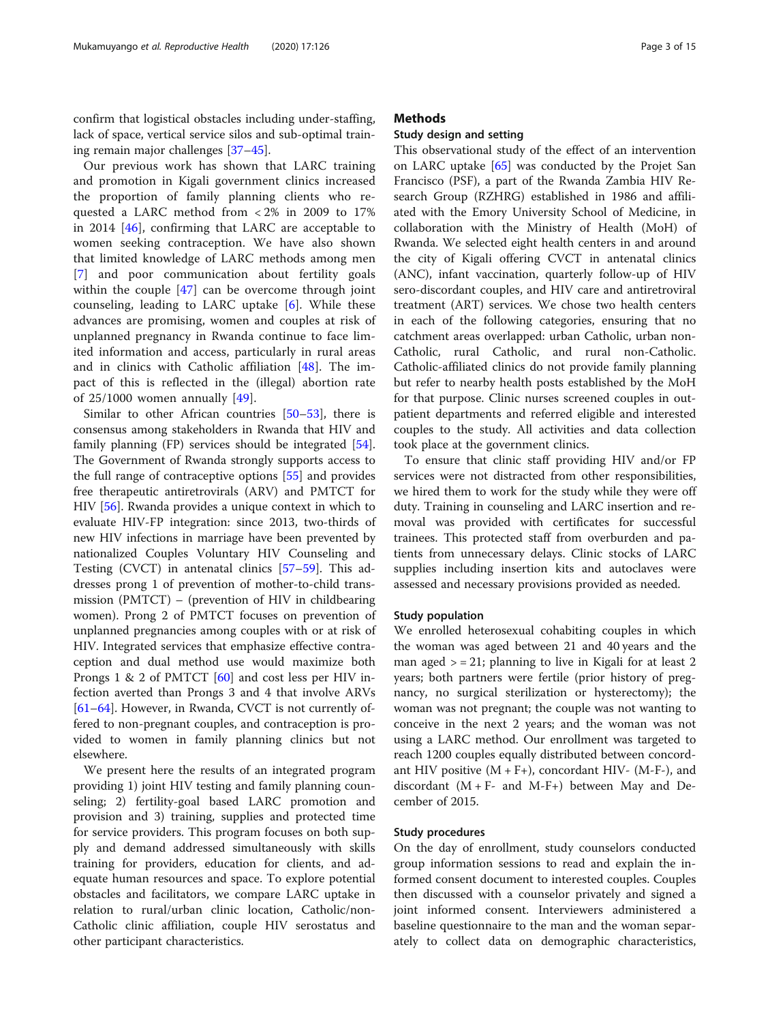confirm that logistical obstacles including under-staffing, lack of space, vertical service silos and sub-optimal training remain major challenges [[37](#page-13-0)–[45](#page-13-0)].

Our previous work has shown that LARC training and promotion in Kigali government clinics increased the proportion of family planning clients who requested a LARC method from < 2% in 2009 to 17% in 2014 [[46\]](#page-13-0), confirming that LARC are acceptable to women seeking contraception. We have also shown that limited knowledge of LARC methods among men [[7\]](#page-12-0) and poor communication about fertility goals within the couple [[47](#page-13-0)] can be overcome through joint counseling, leading to LARC uptake [\[6](#page-12-0)]. While these advances are promising, women and couples at risk of unplanned pregnancy in Rwanda continue to face limited information and access, particularly in rural areas and in clinics with Catholic affiliation [[48\]](#page-13-0). The impact of this is reflected in the (illegal) abortion rate of 25/1000 women annually [[49](#page-13-0)].

Similar to other African countries [[50](#page-13-0)–[53](#page-13-0)], there is consensus among stakeholders in Rwanda that HIV and family planning (FP) services should be integrated [\[54](#page-14-0)]. The Government of Rwanda strongly supports access to the full range of contraceptive options [\[55](#page-14-0)] and provides free therapeutic antiretrovirals (ARV) and PMTCT for HIV [[56](#page-14-0)]. Rwanda provides a unique context in which to evaluate HIV-FP integration: since 2013, two-thirds of new HIV infections in marriage have been prevented by nationalized Couples Voluntary HIV Counseling and Testing (CVCT) in antenatal clinics [[57](#page-14-0)–[59](#page-14-0)]. This addresses prong 1 of prevention of mother-to-child transmission (PMTCT) – (prevention of HIV in childbearing women). Prong 2 of PMTCT focuses on prevention of unplanned pregnancies among couples with or at risk of HIV. Integrated services that emphasize effective contraception and dual method use would maximize both Prongs 1 & 2 of PMTCT [\[60](#page-14-0)] and cost less per HIV infection averted than Prongs 3 and 4 that involve ARVs [[61](#page-14-0)–[64](#page-14-0)]. However, in Rwanda, CVCT is not currently offered to non-pregnant couples, and contraception is provided to women in family planning clinics but not elsewhere.

We present here the results of an integrated program providing 1) joint HIV testing and family planning counseling; 2) fertility-goal based LARC promotion and provision and 3) training, supplies and protected time for service providers. This program focuses on both supply and demand addressed simultaneously with skills training for providers, education for clients, and adequate human resources and space. To explore potential obstacles and facilitators, we compare LARC uptake in relation to rural/urban clinic location, Catholic/non-Catholic clinic affiliation, couple HIV serostatus and other participant characteristics.

# **Methods**

# Study design and setting

This observational study of the effect of an intervention on LARC uptake  $[65]$  $[65]$  was conducted by the Projet San Francisco (PSF), a part of the Rwanda Zambia HIV Research Group (RZHRG) established in 1986 and affiliated with the Emory University School of Medicine, in collaboration with the Ministry of Health (MoH) of Rwanda. We selected eight health centers in and around the city of Kigali offering CVCT in antenatal clinics (ANC), infant vaccination, quarterly follow-up of HIV sero-discordant couples, and HIV care and antiretroviral treatment (ART) services. We chose two health centers in each of the following categories, ensuring that no catchment areas overlapped: urban Catholic, urban non-Catholic, rural Catholic, and rural non-Catholic. Catholic-affiliated clinics do not provide family planning but refer to nearby health posts established by the MoH for that purpose. Clinic nurses screened couples in outpatient departments and referred eligible and interested couples to the study. All activities and data collection took place at the government clinics.

To ensure that clinic staff providing HIV and/or FP services were not distracted from other responsibilities, we hired them to work for the study while they were off duty. Training in counseling and LARC insertion and removal was provided with certificates for successful trainees. This protected staff from overburden and patients from unnecessary delays. Clinic stocks of LARC supplies including insertion kits and autoclaves were assessed and necessary provisions provided as needed.

# Study population

We enrolled heterosexual cohabiting couples in which the woman was aged between 21 and 40 years and the man aged  $> = 21$ ; planning to live in Kigali for at least 2 years; both partners were fertile (prior history of pregnancy, no surgical sterilization or hysterectomy); the woman was not pregnant; the couple was not wanting to conceive in the next 2 years; and the woman was not using a LARC method. Our enrollment was targeted to reach 1200 couples equally distributed between concordant HIV positive  $(M + F+)$ , concordant HIV- (M-F-), and discordant  $(M + F -$  and  $M-F+$ ) between May and December of 2015.

#### Study procedures

On the day of enrollment, study counselors conducted group information sessions to read and explain the informed consent document to interested couples. Couples then discussed with a counselor privately and signed a joint informed consent. Interviewers administered a baseline questionnaire to the man and the woman separately to collect data on demographic characteristics,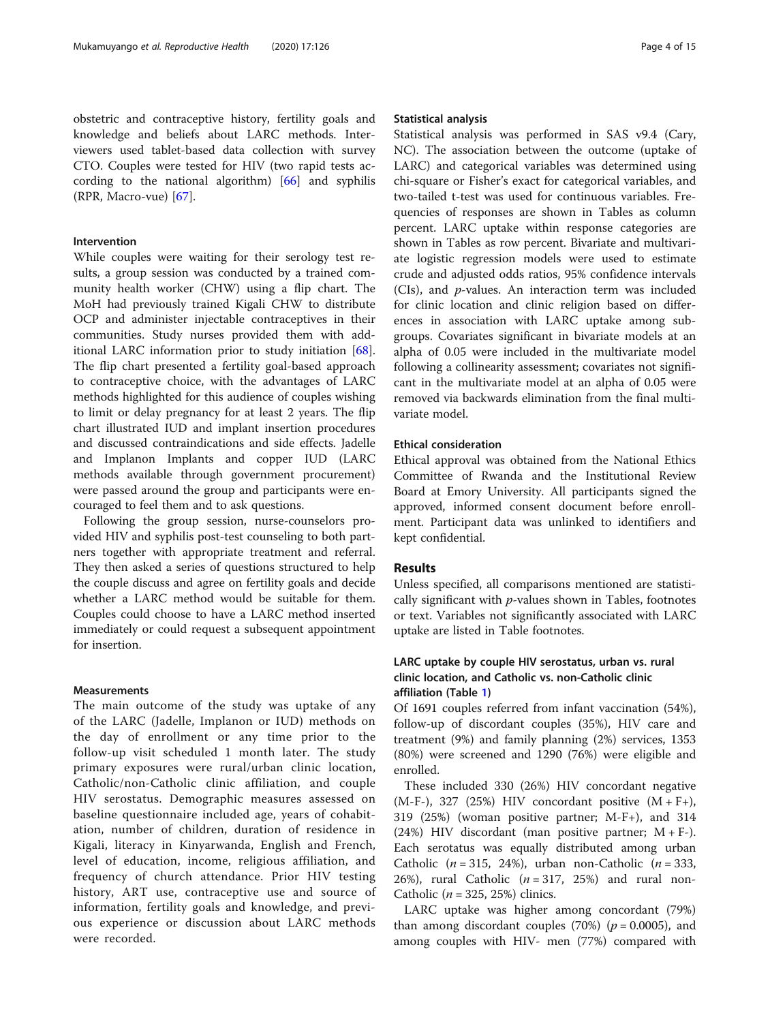# Intervention

While couples were waiting for their serology test results, a group session was conducted by a trained community health worker (CHW) using a flip chart. The MoH had previously trained Kigali CHW to distribute OCP and administer injectable contraceptives in their communities. Study nurses provided them with additional LARC information prior to study initiation [\[68](#page-14-0)]. The flip chart presented a fertility goal-based approach to contraceptive choice, with the advantages of LARC methods highlighted for this audience of couples wishing to limit or delay pregnancy for at least 2 years. The flip chart illustrated IUD and implant insertion procedures and discussed contraindications and side effects. Jadelle and Implanon Implants and copper IUD (LARC methods available through government procurement) were passed around the group and participants were encouraged to feel them and to ask questions.

Following the group session, nurse-counselors provided HIV and syphilis post-test counseling to both partners together with appropriate treatment and referral. They then asked a series of questions structured to help the couple discuss and agree on fertility goals and decide whether a LARC method would be suitable for them. Couples could choose to have a LARC method inserted immediately or could request a subsequent appointment for insertion.

# Measurements

The main outcome of the study was uptake of any of the LARC (Jadelle, Implanon or IUD) methods on the day of enrollment or any time prior to the follow-up visit scheduled 1 month later. The study primary exposures were rural/urban clinic location, Catholic/non-Catholic clinic affiliation, and couple HIV serostatus. Demographic measures assessed on baseline questionnaire included age, years of cohabitation, number of children, duration of residence in Kigali, literacy in Kinyarwanda, English and French, level of education, income, religious affiliation, and frequency of church attendance. Prior HIV testing history, ART use, contraceptive use and source of information, fertility goals and knowledge, and previous experience or discussion about LARC methods were recorded.

# Statistical analysis

Statistical analysis was performed in SAS v9.4 (Cary, NC). The association between the outcome (uptake of LARC) and categorical variables was determined using chi-square or Fisher's exact for categorical variables, and two-tailed t-test was used for continuous variables. Frequencies of responses are shown in Tables as column percent. LARC uptake within response categories are shown in Tables as row percent. Bivariate and multivariate logistic regression models were used to estimate crude and adjusted odds ratios, 95% confidence intervals (CIs), and p-values. An interaction term was included for clinic location and clinic religion based on differences in association with LARC uptake among subgroups. Covariates significant in bivariate models at an alpha of 0.05 were included in the multivariate model following a collinearity assessment; covariates not significant in the multivariate model at an alpha of 0.05 were removed via backwards elimination from the final multivariate model.

# Ethical consideration

Ethical approval was obtained from the National Ethics Committee of Rwanda and the Institutional Review Board at Emory University. All participants signed the approved, informed consent document before enrollment. Participant data was unlinked to identifiers and kept confidential.

# Results

Unless specified, all comparisons mentioned are statistically significant with  $p$ -values shown in Tables, footnotes or text. Variables not significantly associated with LARC uptake are listed in Table footnotes.

# LARC uptake by couple HIV serostatus, urban vs. rural clinic location, and Catholic vs. non-Catholic clinic affiliation (Table [1](#page-4-0))

Of 1691 couples referred from infant vaccination (54%), follow-up of discordant couples (35%), HIV care and treatment (9%) and family planning (2%) services, 1353 (80%) were screened and 1290 (76%) were eligible and enrolled.

These included 330 (26%) HIV concordant negative (M-F-), 327 (25%) HIV concordant positive  $(M+F+)$ , 319 (25%) (woman positive partner; M-F+), and 314  $(24%)$  HIV discordant (man positive partner; M + F-). Each serotatus was equally distributed among urban Catholic ( $n = 315$ , 24%), urban non-Catholic ( $n = 333$ , 26%), rural Catholic  $(n = 317, 25%)$  and rural non-Catholic ( $n = 325, 25\%$ ) clinics.

LARC uptake was higher among concordant (79%) than among discordant couples (70%) ( $p = 0.0005$ ), and among couples with HIV- men (77%) compared with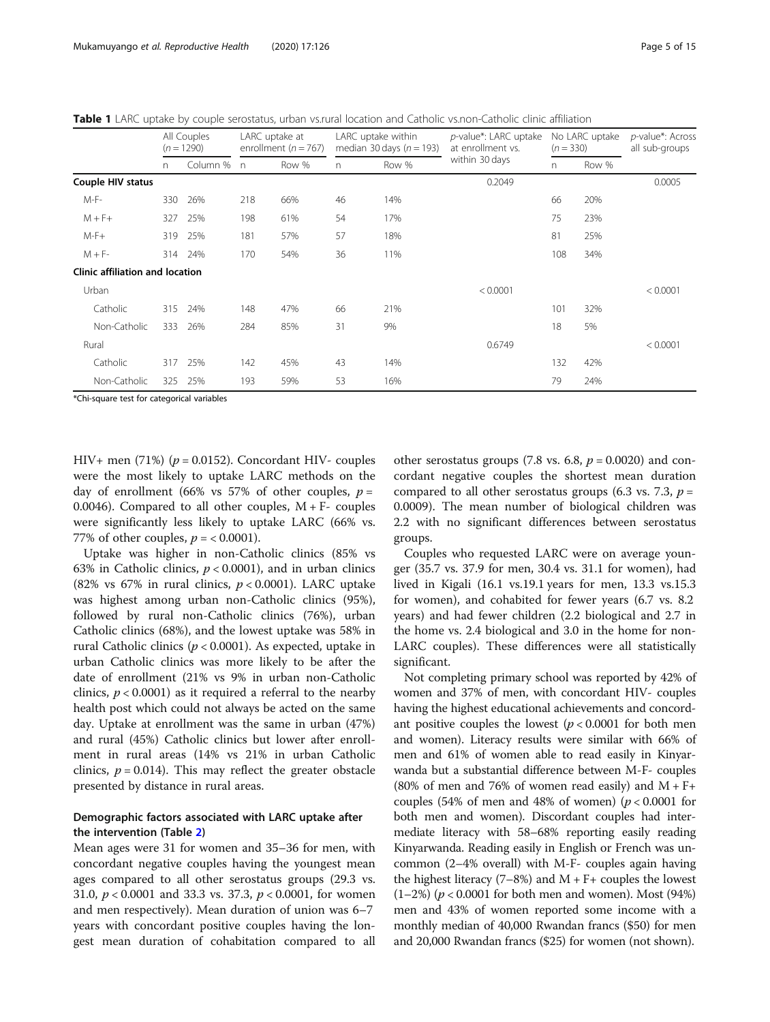<span id="page-4-0"></span>Table 1 LARC uptake by couple serostatus, urban vs.rural location and Catholic vs.non-Catholic clinic affiliation

|                                        | All Couples<br>LARC uptake at<br>LARC uptake within<br>enrollment ( $n = 767$ )<br>$(n = 1290)$<br>median 30 days ( $n = 193$ )<br>Column %<br>Row %<br>Row %<br>n<br>n.<br>n. |         |                |     |       |     | p-value*: LARC uptake<br>at enrollment vs. | $(n = 330)$ | No LARC uptake | p-value*: Across<br>all sub-groups |  |
|----------------------------------------|--------------------------------------------------------------------------------------------------------------------------------------------------------------------------------|---------|----------------|-----|-------|-----|--------------------------------------------|-------------|----------------|------------------------------------|--|
|                                        |                                                                                                                                                                                |         | within 30 days | n   | Row % |     |                                            |             |                |                                    |  |
| Couple HIV status                      |                                                                                                                                                                                |         |                |     |       |     | 0.2049                                     |             |                | 0.0005                             |  |
| M-F-                                   | 330                                                                                                                                                                            | 26%     | 218            | 66% | 46    | 14% |                                            | 66          | 20%            |                                    |  |
| $M + F +$                              | 327                                                                                                                                                                            | 25%     | 198            | 61% | 54    | 17% |                                            | 75          | 23%            |                                    |  |
| $M-F+$                                 | 319                                                                                                                                                                            | 25%     | 181            | 57% | 57    | 18% |                                            | 81          | 25%            |                                    |  |
| $M + F -$                              |                                                                                                                                                                                | 314 24% | 170            | 54% | 36    | 11% |                                            | 108         | 34%            |                                    |  |
| <b>Clinic affiliation and location</b> |                                                                                                                                                                                |         |                |     |       |     |                                            |             |                |                                    |  |
| Urban                                  |                                                                                                                                                                                |         |                |     |       |     | < 0.0001                                   |             |                | < 0.0001                           |  |
| Catholic                               | 315                                                                                                                                                                            | 24%     | 148            | 47% | 66    | 21% |                                            | 101         | 32%            |                                    |  |
| Non-Catholic                           | 333                                                                                                                                                                            | 26%     | 284            | 85% | 31    | 9%  |                                            | 18          | 5%             |                                    |  |
| Rural                                  |                                                                                                                                                                                |         |                |     |       |     | 0.6749                                     |             |                | < 0.0001                           |  |
| Catholic                               | 317                                                                                                                                                                            | 25%     | 142            | 45% | 43    | 14% |                                            | 132         | 42%            |                                    |  |
| Non-Catholic                           | 325                                                                                                                                                                            | 25%     | 193            | 59% | 53    | 16% |                                            | 79          | 24%            |                                    |  |

\*Chi-square test for categorical variables

HIV+ men (71%) ( $p = 0.0152$ ). Concordant HIV- couples were the most likely to uptake LARC methods on the day of enrollment (66% vs 57% of other couples,  $p =$ 0.0046). Compared to all other couples,  $M + F$ - couples were significantly less likely to uptake LARC (66% vs. 77% of other couples,  $p = < 0.0001$ ).

Uptake was higher in non-Catholic clinics (85% vs 63% in Catholic clinics,  $p < 0.0001$ ), and in urban clinics (82% vs 67% in rural clinics,  $p < 0.0001$ ). LARC uptake was highest among urban non-Catholic clinics (95%), followed by rural non-Catholic clinics (76%), urban Catholic clinics (68%), and the lowest uptake was 58% in rural Catholic clinics ( $p < 0.0001$ ). As expected, uptake in urban Catholic clinics was more likely to be after the date of enrollment (21% vs 9% in urban non-Catholic clinics,  $p < 0.0001$ ) as it required a referral to the nearby health post which could not always be acted on the same day. Uptake at enrollment was the same in urban (47%) and rural (45%) Catholic clinics but lower after enrollment in rural areas (14% vs 21% in urban Catholic clinics,  $p = 0.014$ ). This may reflect the greater obstacle presented by distance in rural areas.

# Demographic factors associated with LARC uptake after the intervention (Table [2](#page-5-0))

Mean ages were 31 for women and 35–36 for men, with concordant negative couples having the youngest mean ages compared to all other serostatus groups (29.3 vs. 31.0,  $p < 0.0001$  and 33.3 vs. 37.3,  $p < 0.0001$ , for women and men respectively). Mean duration of union was 6–7 years with concordant positive couples having the longest mean duration of cohabitation compared to all other serostatus groups (7.8 vs. 6.8,  $p = 0.0020$ ) and concordant negative couples the shortest mean duration compared to all other serostatus groups (6.3 vs. 7.3,  $p =$ 0.0009). The mean number of biological children was 2.2 with no significant differences between serostatus groups.

Couples who requested LARC were on average younger (35.7 vs. 37.9 for men, 30.4 vs. 31.1 for women), had lived in Kigali (16.1 vs.19.1 years for men, 13.3 vs.15.3 for women), and cohabited for fewer years (6.7 vs. 8.2 years) and had fewer children (2.2 biological and 2.7 in the home vs. 2.4 biological and 3.0 in the home for non-LARC couples). These differences were all statistically significant.

Not completing primary school was reported by 42% of women and 37% of men, with concordant HIV- couples having the highest educational achievements and concordant positive couples the lowest ( $p < 0.0001$  for both men and women). Literacy results were similar with 66% of men and 61% of women able to read easily in Kinyarwanda but a substantial difference between M-F- couples (80% of men and 76% of women read easily) and  $M + F+$ couples (54% of men and 48% of women) ( $p < 0.0001$  for both men and women). Discordant couples had intermediate literacy with 58–68% reporting easily reading Kinyarwanda. Reading easily in English or French was uncommon (2–4% overall) with M-F- couples again having the highest literacy  $(7-8%)$  and  $M + F+$  couples the lowest  $(1–2%) (p < 0.0001$  for both men and women). Most (94%) men and 43% of women reported some income with a monthly median of 40,000 Rwandan francs (\$50) for men and 20,000 Rwandan francs (\$25) for women (not shown).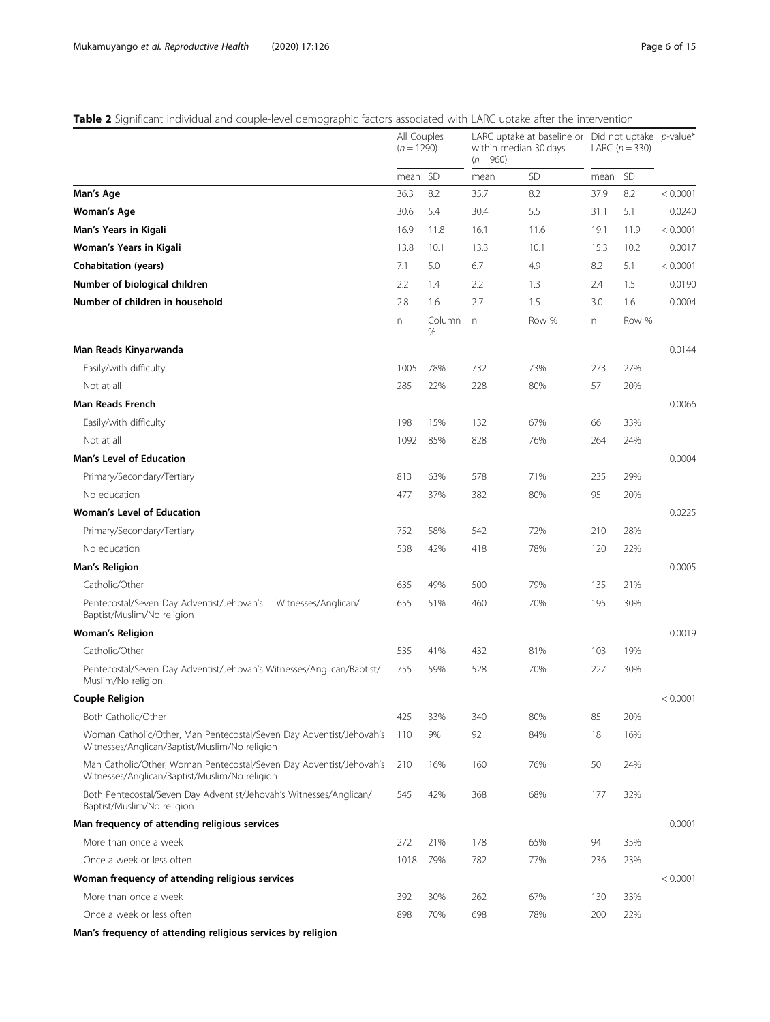# <span id="page-5-0"></span>Table 2 Significant individual and couple-level demographic factors associated with LARC uptake after the intervention

|                                                                                                                      | All Couples<br>$(n = 1290)$ |             | $(n = 960)$  | LARC uptake at baseline or Did not uptake p-value*<br>within median 30 days | LARC $(n = 330)$ |           |          |
|----------------------------------------------------------------------------------------------------------------------|-----------------------------|-------------|--------------|-----------------------------------------------------------------------------|------------------|-----------|----------|
|                                                                                                                      | mean                        | <b>SD</b>   | mean         | <b>SD</b>                                                                   | mean             | <b>SD</b> |          |
| Man's Age                                                                                                            | 36.3                        | 8.2         | 35.7         | 8.2                                                                         | 37.9             | 8.2       | < 0.0001 |
| <b>Woman's Age</b>                                                                                                   | 30.6                        | 5.4         | 30.4         | 5.5                                                                         | 31.1             | 5.1       | 0.0240   |
| Man's Years in Kigali                                                                                                | 16.9                        | 11.8        | 16.1         | 11.6                                                                        | 19.1             | 11.9      | < 0.0001 |
| Woman's Years in Kigali                                                                                              | 13.8                        | 10.1        | 13.3         | 10.1                                                                        | 15.3             | 10.2      | 0.0017   |
| <b>Cohabitation (years)</b>                                                                                          | 7.1                         | 5.0         | 6.7          | 4.9                                                                         | 8.2              | 5.1       | < 0.0001 |
| Number of biological children                                                                                        | 2.2                         | 1.4         | 2.2          | 1.3                                                                         | 2.4              | 1.5       | 0.0190   |
| Number of children in household                                                                                      | 2.8                         | 1.6         | 2.7          | 1.5                                                                         | 3.0              | 1.6       | 0.0004   |
|                                                                                                                      | n                           | Column<br>% | $\mathsf{n}$ | Row %                                                                       | n                | Row %     |          |
| Man Reads Kinyarwanda                                                                                                |                             |             |              |                                                                             |                  |           | 0.0144   |
| Easily/with difficulty                                                                                               | 1005                        | 78%         | 732          | 73%                                                                         | 273              | 27%       |          |
| Not at all                                                                                                           | 285                         | 22%         | 228          | 80%                                                                         | 57               | 20%       |          |
| Man Reads French                                                                                                     |                             |             |              |                                                                             |                  |           | 0.0066   |
| Easily/with difficulty                                                                                               | 198                         | 15%         | 132          | 67%                                                                         | 66               | 33%       |          |
| Not at all                                                                                                           | 1092                        | 85%         | 828          | 76%                                                                         | 264              | 24%       |          |
| Man's Level of Education                                                                                             |                             |             |              |                                                                             |                  |           | 0.0004   |
| Primary/Secondary/Tertiary                                                                                           | 813                         | 63%         | 578          | 71%                                                                         | 235              | 29%       |          |
| No education                                                                                                         | 477                         | 37%         | 382          | 80%                                                                         | 95               | 20%       |          |
| Woman's Level of Education                                                                                           |                             |             |              |                                                                             |                  |           | 0.0225   |
| Primary/Secondary/Tertiary                                                                                           | 752                         | 58%         | 542          | 72%                                                                         | 210              | 28%       |          |
| No education                                                                                                         | 538                         | 42%         | 418          | 78%                                                                         | 120              | 22%       |          |
| Man's Religion                                                                                                       |                             |             |              |                                                                             |                  |           | 0.0005   |
| Catholic/Other                                                                                                       | 635                         | 49%         | 500          | 79%                                                                         | 135              | 21%       |          |
| Pentecostal/Seven Day Adventist/Jehovah's<br>Witnesses/Anglican/<br>Baptist/Muslim/No religion                       | 655                         | 51%         | 460          | 70%                                                                         | 195              | 30%       |          |
| <b>Woman's Religion</b>                                                                                              |                             |             |              |                                                                             |                  |           | 0.0019   |
| Catholic/Other                                                                                                       | 535                         | 41%         | 432          | 81%                                                                         | 103              | 19%       |          |
| Pentecostal/Seven Day Adventist/Jehovah's Witnesses/Anglican/Baptist/<br>Muslim/No religion                          | 755                         | 59%         | 528          | 70%                                                                         | 227              | 30%       |          |
| <b>Couple Religion</b>                                                                                               |                             |             |              |                                                                             |                  |           | < 0.0001 |
| Both Catholic/Other                                                                                                  | 425                         | 33%         | 340          | 80%                                                                         | 85               | 20%       |          |
| Woman Catholic/Other, Man Pentecostal/Seven Day Adventist/Jehovah's<br>Witnesses/Anglican/Baptist/Muslim/No religion | 110                         | 9%          | 92           | 84%                                                                         | 18               | 16%       |          |
| Man Catholic/Other, Woman Pentecostal/Seven Day Adventist/Jehovah's<br>Witnesses/Anglican/Baptist/Muslim/No religion | 210                         | 16%         | 160          | 76%                                                                         | 50               | 24%       |          |
| Both Pentecostal/Seven Day Adventist/Jehovah's Witnesses/Anglican/<br>Baptist/Muslim/No religion                     | 545                         | 42%         | 368          | 68%                                                                         | 177              | 32%       |          |
| Man frequency of attending religious services                                                                        |                             |             |              |                                                                             |                  |           | 0.0001   |
| More than once a week                                                                                                | 272                         | 21%         | 178          | 65%                                                                         | 94               | 35%       |          |
| Once a week or less often                                                                                            | 1018                        | 79%         | 782          | 77%                                                                         | 236              | 23%       |          |
| Woman frequency of attending religious services                                                                      |                             |             |              |                                                                             |                  |           | < 0.0001 |
| More than once a week                                                                                                | 392                         | 30%         | 262          | 67%                                                                         | 130              | 33%       |          |
| Once a week or less often                                                                                            | 898                         | 70%         | 698          | 78%                                                                         | 200              | 22%       |          |
| ويحافظ المورديها المحافرون والمحافظ المورات                                                                          |                             |             |              |                                                                             |                  |           |          |

Man's frequency of attending religious services by religion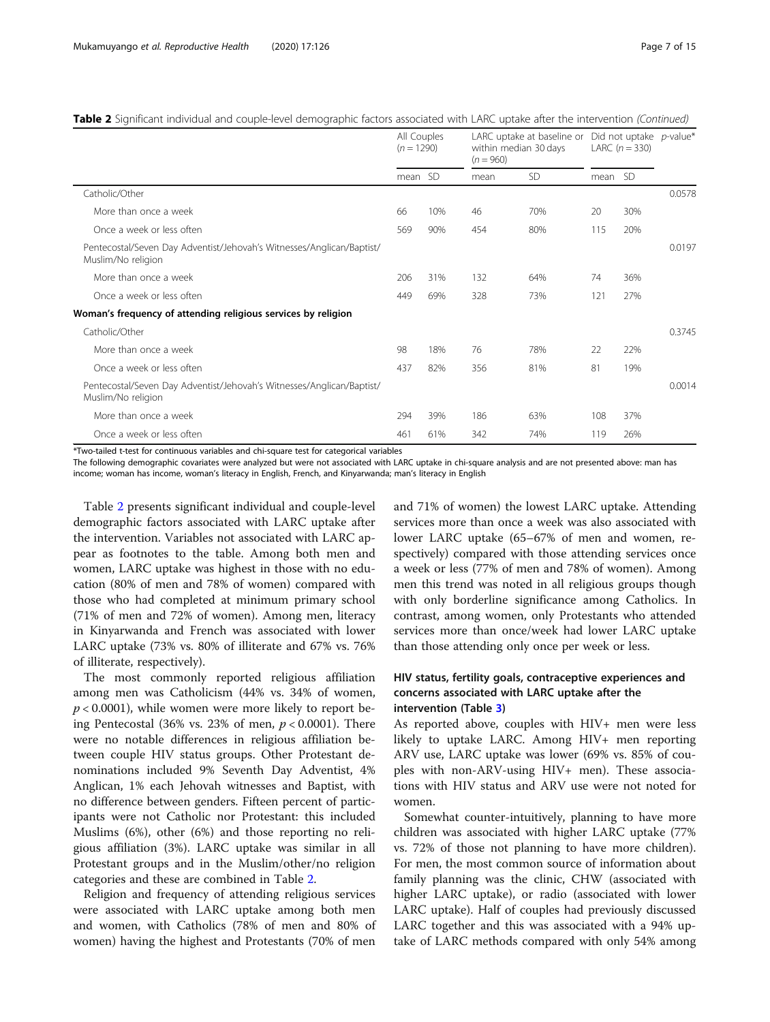# Table 2 Significant individual and couple-level demographic factors associated with LARC uptake after the intervention (Continued)

|                                                                                             | All Couples<br>$(n = 1290)$ |     | LARC uptake at baseline or<br>within median 30 days<br>$(n = 960)$ |           | Did not uptake p-value*<br>LARC $(n = 330)$ |     |        |
|---------------------------------------------------------------------------------------------|-----------------------------|-----|--------------------------------------------------------------------|-----------|---------------------------------------------|-----|--------|
|                                                                                             | mean                        | SD. | mean                                                               | <b>SD</b> | mean                                        | -SD |        |
| Catholic/Other                                                                              |                             |     |                                                                    |           |                                             |     | 0.0578 |
| More than once a week                                                                       | 66                          | 10% | 46                                                                 | 70%       | 20                                          | 30% |        |
| Once a week or less often                                                                   | 569                         | 90% | 454                                                                | 80%       | 115                                         | 20% |        |
| Pentecostal/Seven Day Adventist/Jehovah's Witnesses/Anglican/Baptist/<br>Muslim/No religion |                             |     |                                                                    |           |                                             |     | 0.0197 |
| More than once a week                                                                       | 206                         | 31% | 132                                                                | 64%       | 74                                          | 36% |        |
| Once a week or less often                                                                   | 449                         | 69% | 328                                                                | 73%       | 121                                         | 27% |        |
| Woman's frequency of attending religious services by religion                               |                             |     |                                                                    |           |                                             |     |        |
| Catholic/Other                                                                              |                             |     |                                                                    |           |                                             |     | 0.3745 |
| More than once a week                                                                       | 98                          | 18% | 76                                                                 | 78%       | 22                                          | 22% |        |
| Once a week or less often                                                                   | 437                         | 82% | 356                                                                | 81%       | 81                                          | 19% |        |
| Pentecostal/Seven Day Adventist/Jehovah's Witnesses/Anglican/Baptist/<br>Muslim/No religion |                             |     |                                                                    |           |                                             |     | 0.0014 |
| More than once a week                                                                       | 294                         | 39% | 186                                                                | 63%       | 108                                         | 37% |        |
| Once a week or less often                                                                   | 461                         | 61% | 342                                                                | 74%       | 119                                         | 26% |        |

\*Two-tailed t-test for continuous variables and chi-square test for categorical variables

The following demographic covariates were analyzed but were not associated with LARC uptake in chi-square analysis and are not presented above: man has income; woman has income, woman's literacy in English, French, and Kinyarwanda; man's literacy in English

Table [2](#page-5-0) presents significant individual and couple-level demographic factors associated with LARC uptake after the intervention. Variables not associated with LARC appear as footnotes to the table. Among both men and women, LARC uptake was highest in those with no education (80% of men and 78% of women) compared with those who had completed at minimum primary school (71% of men and 72% of women). Among men, literacy in Kinyarwanda and French was associated with lower LARC uptake (73% vs. 80% of illiterate and 67% vs. 76% of illiterate, respectively).

The most commonly reported religious affiliation among men was Catholicism (44% vs. 34% of women,  $p < 0.0001$ ), while women were more likely to report being Pentecostal (36% vs. 23% of men,  $p < 0.0001$ ). There were no notable differences in religious affiliation between couple HIV status groups. Other Protestant denominations included 9% Seventh Day Adventist, 4% Anglican, 1% each Jehovah witnesses and Baptist, with no difference between genders. Fifteen percent of participants were not Catholic nor Protestant: this included Muslims (6%), other (6%) and those reporting no religious affiliation (3%). LARC uptake was similar in all Protestant groups and in the Muslim/other/no religion categories and these are combined in Table [2.](#page-5-0)

Religion and frequency of attending religious services were associated with LARC uptake among both men and women, with Catholics (78% of men and 80% of women) having the highest and Protestants (70% of men

and 71% of women) the lowest LARC uptake. Attending services more than once a week was also associated with lower LARC uptake (65–67% of men and women, respectively) compared with those attending services once a week or less (77% of men and 78% of women). Among men this trend was noted in all religious groups though with only borderline significance among Catholics. In contrast, among women, only Protestants who attended services more than once/week had lower LARC uptake than those attending only once per week or less.

# HIV status, fertility goals, contraceptive experiences and concerns associated with LARC uptake after the intervention (Table [3\)](#page-7-0)

As reported above, couples with HIV+ men were less likely to uptake LARC. Among HIV+ men reporting ARV use, LARC uptake was lower (69% vs. 85% of couples with non-ARV-using HIV+ men). These associations with HIV status and ARV use were not noted for women.

Somewhat counter-intuitively, planning to have more children was associated with higher LARC uptake (77% vs. 72% of those not planning to have more children). For men, the most common source of information about family planning was the clinic, CHW (associated with higher LARC uptake), or radio (associated with lower LARC uptake). Half of couples had previously discussed LARC together and this was associated with a 94% uptake of LARC methods compared with only 54% among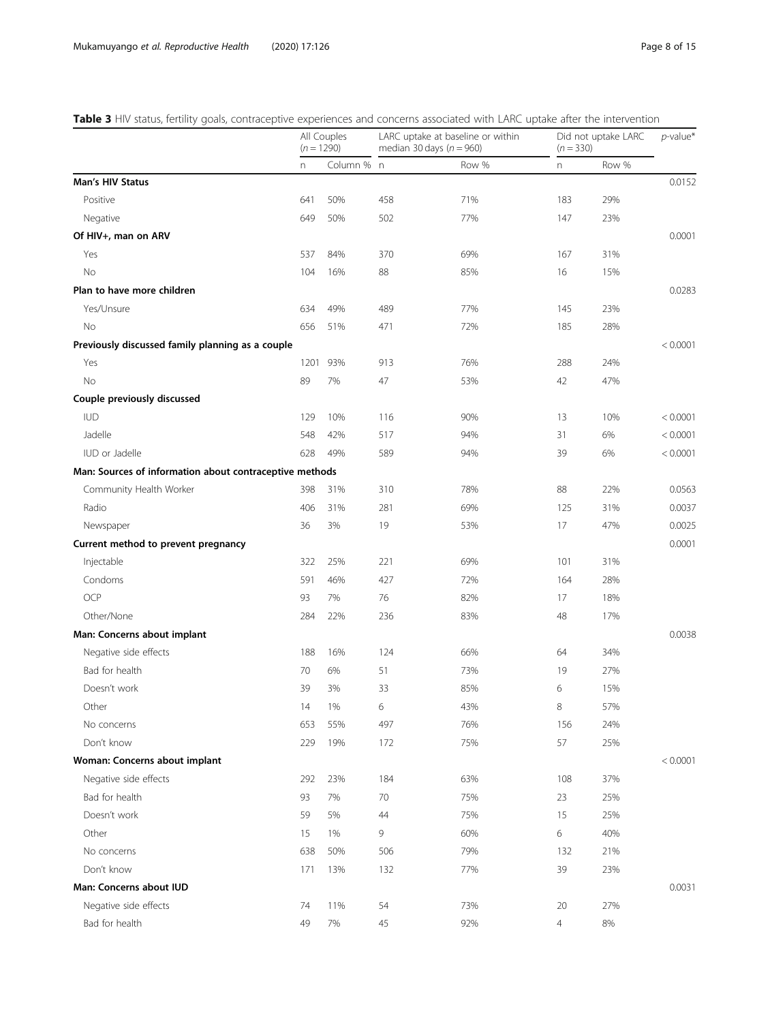# <span id="page-7-0"></span>Table 3 HIV status, fertility goals, contraceptive experiences and concerns associated with LARC uptake after the intervention

|                                                         | All Couples<br>$(n = 1290)$ |            |        | LARC uptake at baseline or within<br>median 30 days ( $n = 960$ ) | Did not uptake LARC<br>$(n = 330)$ | $p$ -value* |          |
|---------------------------------------------------------|-----------------------------|------------|--------|-------------------------------------------------------------------|------------------------------------|-------------|----------|
|                                                         | n                           | Column % n |        | Row %                                                             | n                                  | Row %       |          |
| Man's HIV Status                                        |                             |            |        |                                                                   |                                    |             | 0.0152   |
| Positive                                                | 641                         | 50%        | 458    | 71%                                                               | 183                                | 29%         |          |
| Negative                                                | 649                         | 50%        | 502    | 77%                                                               | 147                                | 23%         |          |
| Of HIV+, man on ARV                                     |                             |            |        |                                                                   |                                    |             | 0.0001   |
| Yes                                                     | 537                         | 84%        | 370    | 69%                                                               | 167                                | 31%         |          |
| No                                                      | 104                         | 16%        | 88     | 85%                                                               | 16                                 | 15%         |          |
| Plan to have more children                              |                             |            |        |                                                                   |                                    |             | 0.0283   |
| Yes/Unsure                                              | 634                         | 49%        | 489    | 77%                                                               | 145                                | 23%         |          |
| No                                                      | 656                         | 51%        | 471    | 72%                                                               | 185                                | 28%         |          |
| Previously discussed family planning as a couple        |                             |            |        |                                                                   |                                    |             | < 0.0001 |
| Yes                                                     | 1201                        | 93%        | 913    | 76%                                                               | 288                                | 24%         |          |
| No                                                      | 89                          | 7%         | 47     | 53%                                                               | 42                                 | 47%         |          |
| Couple previously discussed                             |                             |            |        |                                                                   |                                    |             |          |
| <b>IUD</b>                                              | 129                         | 10%        | 116    | 90%                                                               | 13                                 | 10%         | < 0.0001 |
| Jadelle                                                 | 548                         | 42%        | 517    | 94%                                                               | 31                                 | 6%          | < 0.0001 |
| IUD or Jadelle                                          | 628                         | 49%        | 589    | 94%                                                               | 39                                 | 6%          | < 0.0001 |
| Man: Sources of information about contraceptive methods |                             |            |        |                                                                   |                                    |             |          |
| Community Health Worker                                 | 398                         | 31%        | 310    | 78%                                                               | 88                                 | 22%         | 0.0563   |
| Radio                                                   | 406                         | 31%        | 281    | 69%                                                               | 125                                | 31%         | 0.0037   |
| Newspaper                                               | 36                          | 3%         | 19     | 53%                                                               | 17                                 | 47%         | 0.0025   |
| Current method to prevent pregnancy                     |                             |            |        |                                                                   |                                    |             | 0.0001   |
| Injectable                                              | 322                         | 25%        | 221    | 69%                                                               | 101                                | 31%         |          |
| Condoms                                                 | 591                         | 46%        | 427    | 72%                                                               | 164                                | 28%         |          |
| OCP                                                     | 93                          | 7%         | 76     | 82%                                                               | 17                                 | 18%         |          |
| Other/None                                              | 284                         | 22%        | 236    | 83%                                                               | 48                                 | 17%         |          |
| Man: Concerns about implant                             |                             |            |        |                                                                   |                                    |             | 0.0038   |
| Negative side effects                                   | 188                         | 16%        | 124    | 66%                                                               | 64                                 | 34%         |          |
| Bad for health                                          | 70                          | 6%         | 51     | 73%                                                               | 19                                 | 27%         |          |
| Doesn't work                                            | 39                          | 3%         | 33     | 85%                                                               | 6                                  | 15%         |          |
| Other                                                   | 14                          | 1%         | 6      | 43%                                                               | 8                                  | 57%         |          |
| No concerns                                             | 653                         | 55%        | 497    | 76%                                                               | 156                                | 24%         |          |
| Don't know                                              | 229                         | 19%        | 172    | 75%                                                               | 57                                 | 25%         |          |
| Woman: Concerns about implant                           |                             |            |        |                                                                   |                                    |             | < 0.0001 |
| Negative side effects                                   | 292                         | 23%        | 184    | 63%                                                               | 108                                | 37%         |          |
| Bad for health                                          | 93                          | 7%         | 70     | 75%                                                               | 23                                 | 25%         |          |
| Doesn't work                                            | 59                          | 5%         | 44     | 75%                                                               | 15                                 | 25%         |          |
| Other                                                   | 15                          | 1%         | 9      | 60%                                                               | 6                                  | 40%         |          |
| No concerns                                             | 638                         | 50%        | 506    | 79%                                                               | 132                                | 21%         |          |
| Don't know                                              | 171                         | 13%        | 132    | 77%                                                               | 39                                 | 23%         |          |
| Man: Concerns about IUD                                 |                             |            |        |                                                                   |                                    |             | 0.0031   |
| Negative side effects                                   | 74                          | 11%        | 54     | 73%                                                               | 20                                 | 27%         |          |
| Bad for health                                          | 49                          | 7%         | $45\,$ | 92%                                                               | $\overline{4}$                     | 8%          |          |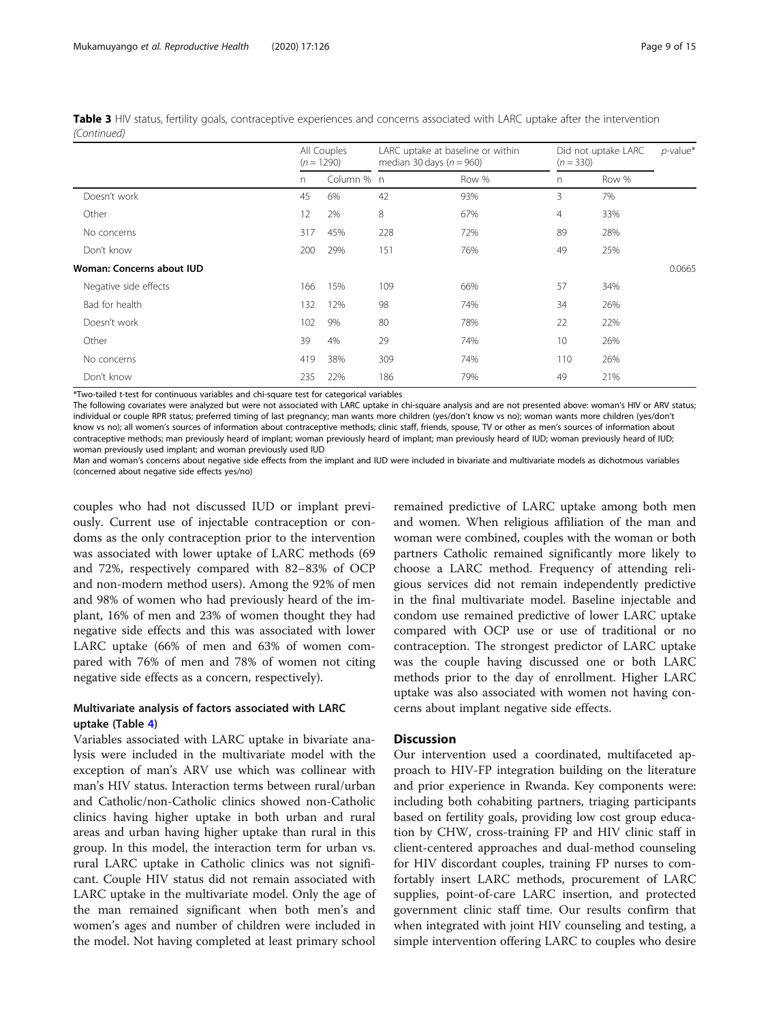Table 3 HIV status, fertility goals, contraceptive experiences and concerns associated with LARC uptake after the intervention (Continued)

|                           | $(n = 1290)$ | All Couples | LARC uptake at baseline or within<br>median 30 days ( $n = 960$ ) |       | Did not uptake LARC<br>$(n = 330)$ | $p$ -value* |        |
|---------------------------|--------------|-------------|-------------------------------------------------------------------|-------|------------------------------------|-------------|--------|
|                           | n.           | Column % n  |                                                                   | Row % | $\mathsf{n}$                       | Row %       |        |
| Doesn't work              | 45           | 6%          | 42                                                                | 93%   | 3                                  | 7%          |        |
| Other                     | 12           | 2%          | 8                                                                 | 67%   | 4                                  | 33%         |        |
| No concerns               | 317          | 45%         | 228                                                               | 72%   | 89                                 | 28%         |        |
| Don't know                | 200          | 29%         | 151                                                               | 76%   | 49                                 | 25%         |        |
| Woman: Concerns about IUD |              |             |                                                                   |       |                                    |             | 0.0665 |
| Negative side effects     | 166          | 15%         | 109                                                               | 66%   | 57                                 | 34%         |        |
| Bad for health            | 132          | 12%         | 98                                                                | 74%   | 34                                 | 26%         |        |
| Doesn't work              | 102          | 9%          | 80                                                                | 78%   | 22                                 | 22%         |        |
| Other                     | 39           | 4%          | 29                                                                | 74%   | 10                                 | 26%         |        |
| No concerns               | 419          | 38%         | 309                                                               | 74%   | 110                                | 26%         |        |
| Don't know                | 235          | 22%         | 186                                                               | 79%   | 49                                 | 21%         |        |

\*Two-tailed t-test for continuous variables and chi-square test for categorical variables

The following covariates were analyzed but were not associated with LARC uptake in chi-square analysis and are not presented above: woman's HIV or ARV status; individual or couple RPR status; preferred timing of last pregnancy; man wants more children (yes/don't know vs no); woman wants more children (yes/don't know vs no); all women's sources of information about contraceptive methods; clinic staff, friends, spouse, TV or other as men's sources of information about contraceptive methods; man previously heard of implant; woman previously heard of implant; man previously heard of IUD; woman previously heard of IUD; woman previously used implant; and woman previously used IUD

Man and woman's concerns about negative side effects from the implant and IUD were included in bivariate and multivariate models as dichotmous variables (concerned about negative side effects yes/no)

couples who had not discussed IUD or implant previously. Current use of injectable contraception or condoms as the only contraception prior to the intervention was associated with lower uptake of LARC methods (69 and 72%, respectively compared with 82–83% of OCP and non-modern method users). Among the 92% of men and 98% of women who had previously heard of the implant, 16% of men and 23% of women thought they had negative side effects and this was associated with lower LARC uptake (66% of men and 63% of women compared with 76% of men and 78% of women not citing negative side effects as a concern, respectively).

# Multivariate analysis of factors associated with LARC uptake (Table [4](#page-9-0))

Variables associated with LARC uptake in bivariate analysis were included in the multivariate model with the exception of man's ARV use which was collinear with man's HIV status. Interaction terms between rural/urban and Catholic/non-Catholic clinics showed non-Catholic clinics having higher uptake in both urban and rural areas and urban having higher uptake than rural in this group. In this model, the interaction term for urban vs. rural LARC uptake in Catholic clinics was not significant. Couple HIV status did not remain associated with LARC uptake in the multivariate model. Only the age of the man remained significant when both men's and women's ages and number of children were included in the model. Not having completed at least primary school

remained predictive of LARC uptake among both men and women. When religious affiliation of the man and woman were combined, couples with the woman or both partners Catholic remained significantly more likely to choose a LARC method. Frequency of attending religious services did not remain independently predictive in the final multivariate model. Baseline injectable and condom use remained predictive of lower LARC uptake compared with OCP use or use of traditional or no contraception. The strongest predictor of LARC uptake was the couple having discussed one or both LARC methods prior to the day of enrollment. Higher LARC uptake was also associated with women not having concerns about implant negative side effects.

# **Discussion**

Our intervention used a coordinated, multifaceted approach to HIV-FP integration building on the literature and prior experience in Rwanda. Key components were: including both cohabiting partners, triaging participants based on fertility goals, providing low cost group education by CHW, cross-training FP and HIV clinic staff in client-centered approaches and dual-method counseling for HIV discordant couples, training FP nurses to comfortably insert LARC methods, procurement of LARC supplies, point-of-care LARC insertion, and protected government clinic staff time. Our results confirm that when integrated with joint HIV counseling and testing, a simple intervention offering LARC to couples who desire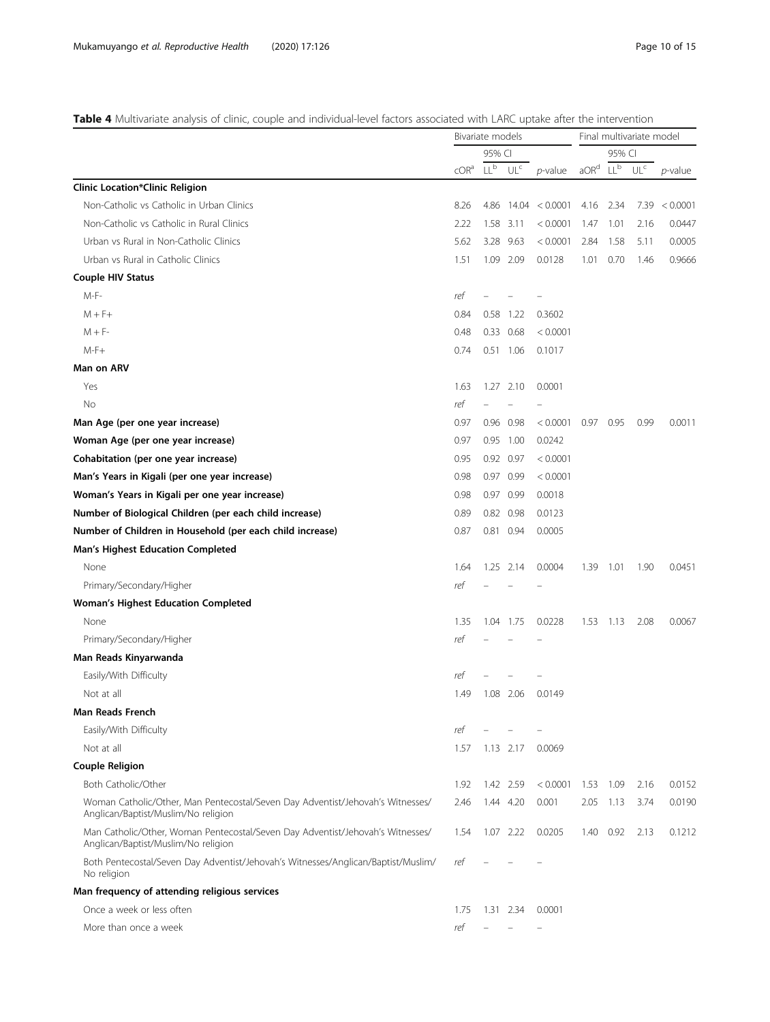# <span id="page-9-0"></span>Table 4 Multivariate analysis of clinic, couple and individual-level factors associated with LARC uptake after the intervention

|                                                                                                                       | Bivariate models |        |           |            | Final multivariate model |           |                                         |                 |  |
|-----------------------------------------------------------------------------------------------------------------------|------------------|--------|-----------|------------|--------------------------|-----------|-----------------------------------------|-----------------|--|
|                                                                                                                       |                  | 95% CI |           |            |                          | 95% CI    |                                         |                 |  |
|                                                                                                                       | COR <sup>a</sup> | $LL^b$ | $ULc$     | $p$ -value | aOR <sup>d</sup>         | $L^{b}$   | $\ensuremath{\mathsf{UL}}^{\mathsf{c}}$ | <i>p</i> -value |  |
| <b>Clinic Location*Clinic Religion</b>                                                                                |                  |        |           |            |                          |           |                                         |                 |  |
| Non-Catholic vs Catholic in Urban Clinics                                                                             | 8.26             | 4.86   | 14.04     | < 0.0001   | 4.16                     | 2.34      | 7.39                                    | < 0.0001        |  |
| Non-Catholic vs Catholic in Rural Clinics                                                                             | 2.22             | 1.58   | 3.11      | < 0.0001   | 1.47                     | 1.01      | 2.16                                    | 0.0447          |  |
| Urban vs Rural in Non-Catholic Clinics                                                                                | 5.62             | 3.28   | 9.63      | < 0.0001   | 2.84                     | 1.58      | 5.11                                    | 0.0005          |  |
| Urban vs Rural in Catholic Clinics                                                                                    | 1.51             |        | 1.09 2.09 | 0.0128     | 1.01                     | 0.70      | 1.46                                    | 0.9666          |  |
| <b>Couple HIV Status</b>                                                                                              |                  |        |           |            |                          |           |                                         |                 |  |
| M-F-                                                                                                                  | ref              |        |           |            |                          |           |                                         |                 |  |
| $M + F +$                                                                                                             | 0.84             |        | 0.58 1.22 | 0.3602     |                          |           |                                         |                 |  |
| $M + F -$                                                                                                             | 0.48             |        | 0.33 0.68 | < 0.0001   |                          |           |                                         |                 |  |
| $M-F+$                                                                                                                | 0.74             |        | 0.51 1.06 | 0.1017     |                          |           |                                         |                 |  |
| Man on ARV                                                                                                            |                  |        |           |            |                          |           |                                         |                 |  |
| Yes                                                                                                                   | 1.63             |        | 1.27 2.10 | 0.0001     |                          |           |                                         |                 |  |
| No                                                                                                                    | ref              |        |           |            |                          |           |                                         |                 |  |
| Man Age (per one year increase)                                                                                       | 0.97             |        | 0.96 0.98 | < 0.0001   | 0.97                     | 0.95      | 0.99                                    | 0.0011          |  |
| Woman Age (per one year increase)                                                                                     | 0.97             |        | 0.95 1.00 | 0.0242     |                          |           |                                         |                 |  |
| Cohabitation (per one year increase)                                                                                  | 0.95             |        | 0.92 0.97 | < 0.0001   |                          |           |                                         |                 |  |
| Man's Years in Kigali (per one year increase)                                                                         | 0.98             |        | 0.97 0.99 | < 0.0001   |                          |           |                                         |                 |  |
| Woman's Years in Kigali per one year increase)                                                                        | 0.98             |        | 0.97 0.99 | 0.0018     |                          |           |                                         |                 |  |
| Number of Biological Children (per each child increase)                                                               | 0.89             |        | 0.82 0.98 | 0.0123     |                          |           |                                         |                 |  |
| Number of Children in Household (per each child increase)                                                             | 0.87             |        | 0.81 0.94 | 0.0005     |                          |           |                                         |                 |  |
| Man's Highest Education Completed                                                                                     |                  |        |           |            |                          |           |                                         |                 |  |
| None                                                                                                                  | 1.64             | 1.25   | 2.14      | 0.0004     | 1.39                     | 1.01      | 1.90                                    | 0.0451          |  |
| Primary/Secondary/Higher                                                                                              | ref              |        |           |            |                          |           |                                         |                 |  |
| <b>Woman's Highest Education Completed</b>                                                                            |                  |        |           |            |                          |           |                                         |                 |  |
| None                                                                                                                  | 1.35             |        | 1.04 1.75 | 0.0228     | 1.53                     | 1.13      | 2.08                                    | 0.0067          |  |
| Primary/Secondary/Higher                                                                                              | ref              |        |           |            |                          |           |                                         |                 |  |
| Man Reads Kinyarwanda                                                                                                 |                  |        |           |            |                          |           |                                         |                 |  |
| Easily/With Difficulty                                                                                                | ref              |        |           |            |                          |           |                                         |                 |  |
| Not at all                                                                                                            | 1.49             |        | 1.08 2.06 | 0.0149     |                          |           |                                         |                 |  |
| Man Reads French                                                                                                      |                  |        |           |            |                          |           |                                         |                 |  |
| Easily/With Difficulty                                                                                                | ref              |        |           |            |                          |           |                                         |                 |  |
| Not at all                                                                                                            | 1.57             |        | 1.13 2.17 | 0.0069     |                          |           |                                         |                 |  |
| <b>Couple Religion</b>                                                                                                |                  |        |           |            |                          |           |                                         |                 |  |
| Both Catholic/Other                                                                                                   | 1.92             |        | 1.42 2.59 | < 0.0001   | 1.53                     | 1.09      | 2.16                                    | 0.0152          |  |
| Woman Catholic/Other, Man Pentecostal/Seven Day Adventist/Jehovah's Witnesses/<br>Anglican/Baptist/Muslim/No religion | 2.46             |        | 1.44 4.20 | 0.001      | 2.05                     | 1.13      | 3.74                                    | 0.0190          |  |
| Man Catholic/Other, Woman Pentecostal/Seven Day Adventist/Jehovah's Witnesses/<br>Anglican/Baptist/Muslim/No religion | 1.54             |        | 1.07 2.22 | 0.0205     |                          | 1.40 0.92 | 2.13                                    | 0.1212          |  |
| Both Pentecostal/Seven Day Adventist/Jehovah's Witnesses/Anglican/Baptist/Muslim/<br>No religion                      | ref              |        |           |            |                          |           |                                         |                 |  |
| Man frequency of attending religious services                                                                         |                  |        |           |            |                          |           |                                         |                 |  |
| Once a week or less often                                                                                             | 1.75             |        | 1.31 2.34 | 0.0001     |                          |           |                                         |                 |  |
| More than once a week                                                                                                 | ref              |        |           |            |                          |           |                                         |                 |  |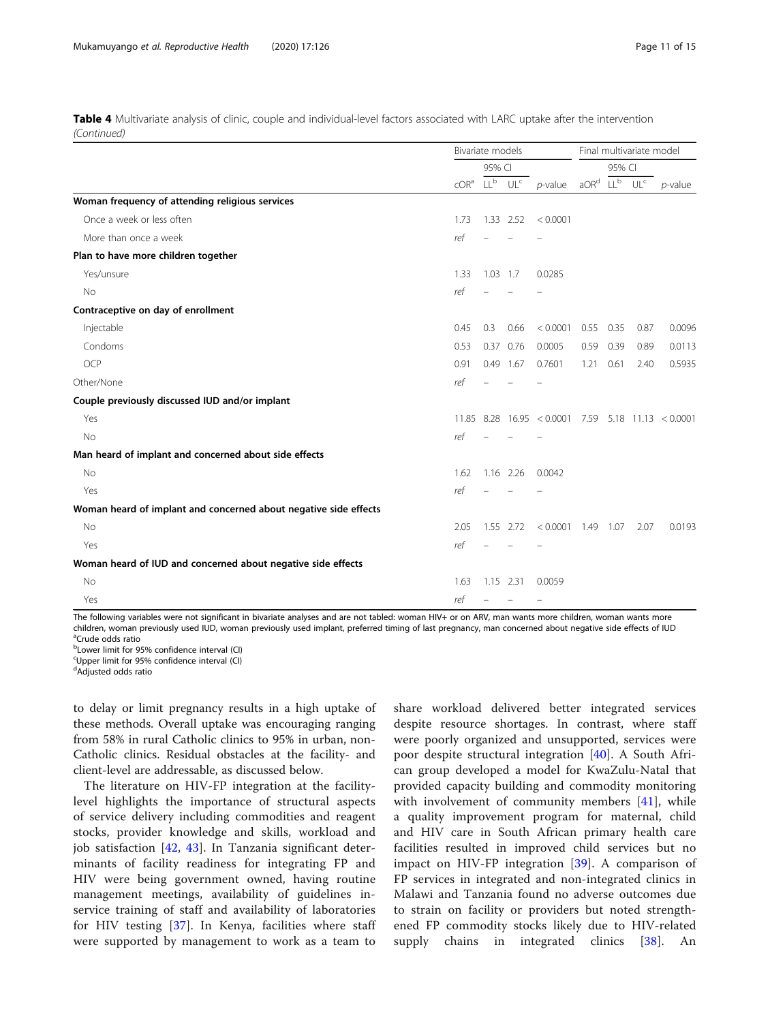Table 4 Multivariate analysis of clinic, couple and individual-level factors associated with LARC uptake after the intervention (Continued)

|                                                                  | Bivariate models            |                 |                 |                                              | Final multivariate model |                        |      |            |  |
|------------------------------------------------------------------|-----------------------------|-----------------|-----------------|----------------------------------------------|--------------------------|------------------------|------|------------|--|
|                                                                  |                             | 95% CI          |                 |                                              |                          | 95% CI                 |      |            |  |
|                                                                  | $\mathsf{COR}^{\mathsf{a}}$ | LL <sup>b</sup> | UL <sup>c</sup> | $p$ -value                                   | aOR <sup>d</sup>         | $LL^b$ UL <sup>c</sup> |      | $p$ -value |  |
| Woman frequency of attending religious services                  |                             |                 |                 |                                              |                          |                        |      |            |  |
| Once a week or less often                                        | 1.73                        |                 | 1.33 2.52       | < 0.0001                                     |                          |                        |      |            |  |
| More than once a week                                            | ref                         |                 |                 |                                              |                          |                        |      |            |  |
| Plan to have more children together                              |                             |                 |                 |                                              |                          |                        |      |            |  |
| Yes/unsure                                                       | 1.33                        | $1.03$ 1.7      |                 | 0.0285                                       |                          |                        |      |            |  |
| <b>No</b>                                                        | ref                         |                 |                 |                                              |                          |                        |      |            |  |
| Contraceptive on day of enrollment                               |                             |                 |                 |                                              |                          |                        |      |            |  |
| Injectable                                                       | 0.45                        | 0.3             | 0.66            | < 0.0001                                     | 0.55                     | 0.35                   | 0.87 | 0.0096     |  |
| Condoms                                                          | 0.53                        | 0.37            | 0.76            | 0.0005                                       | 0.59                     | 0.39                   | 0.89 | 0.0113     |  |
| <b>OCP</b>                                                       | 0.91                        |                 | 0.49 1.67       | 0.7601                                       | 1.21                     | 0.61                   | 2.40 | 0.5935     |  |
| Other/None                                                       | ref                         |                 |                 |                                              |                          |                        |      |            |  |
| Couple previously discussed IUD and/or implant                   |                             |                 |                 |                                              |                          |                        |      |            |  |
| Yes                                                              | 11.85                       |                 |                 | 8.28 16.95 < 0.0001 7.59 5.18 11.13 < 0.0001 |                          |                        |      |            |  |
| No                                                               | ref                         |                 |                 |                                              |                          |                        |      |            |  |
| Man heard of implant and concerned about side effects            |                             |                 |                 |                                              |                          |                        |      |            |  |
| No                                                               | 1.62                        |                 | 1.16 2.26       | 0.0042                                       |                          |                        |      |            |  |
| Yes                                                              | ref                         |                 |                 |                                              |                          |                        |      |            |  |
| Woman heard of implant and concerned about negative side effects |                             |                 |                 |                                              |                          |                        |      |            |  |
| No                                                               | 2.05                        |                 | 1.55 2.72       | < 0.0001                                     | 1.49                     | 1.07                   | 2.07 | 0.0193     |  |
| Yes                                                              | ref                         |                 |                 |                                              |                          |                        |      |            |  |
| Woman heard of IUD and concerned about negative side effects     |                             |                 |                 |                                              |                          |                        |      |            |  |
| <b>No</b>                                                        | 1.63                        |                 | 1.15 2.31       | 0.0059                                       |                          |                        |      |            |  |
| Yes                                                              | ref                         |                 |                 |                                              |                          |                        |      |            |  |

d: woman HIV+ or on ARV, man wants more children, woman wants mor children, woman previously used IUD, woman previously used implant, preferred timing of last pregnancy, man concerned about negative side effects of IUD <sup>a</sup>Crude odds ratio

<sup>b</sup>Lower limit for 95% confidence interval (CI)

<sup>c</sup>Upper limit for 95% confidence interval (CI)

<sup>d</sup>Adjusted odds ratio

to delay or limit pregnancy results in a high uptake of these methods. Overall uptake was encouraging ranging from 58% in rural Catholic clinics to 95% in urban, non-Catholic clinics. Residual obstacles at the facility- and client-level are addressable, as discussed below.

The literature on HIV-FP integration at the facilitylevel highlights the importance of structural aspects of service delivery including commodities and reagent stocks, provider knowledge and skills, workload and job satisfaction [[42,](#page-13-0) [43](#page-13-0)]. In Tanzania significant determinants of facility readiness for integrating FP and HIV were being government owned, having routine management meetings, availability of guidelines inservice training of staff and availability of laboratories for HIV testing [[37](#page-13-0)]. In Kenya, facilities where staff were supported by management to work as a team to

share workload delivered better integrated services despite resource shortages. In contrast, where staff were poorly organized and unsupported, services were poor despite structural integration [\[40](#page-13-0)]. A South African group developed a model for KwaZulu-Natal that provided capacity building and commodity monitoring with involvement of community members [[41](#page-13-0)], while a quality improvement program for maternal, child and HIV care in South African primary health care facilities resulted in improved child services but no impact on HIV-FP integration [[39\]](#page-13-0). A comparison of FP services in integrated and non-integrated clinics in Malawi and Tanzania found no adverse outcomes due to strain on facility or providers but noted strengthened FP commodity stocks likely due to HIV-related supply chains in integrated clinics [[38](#page-13-0)]. An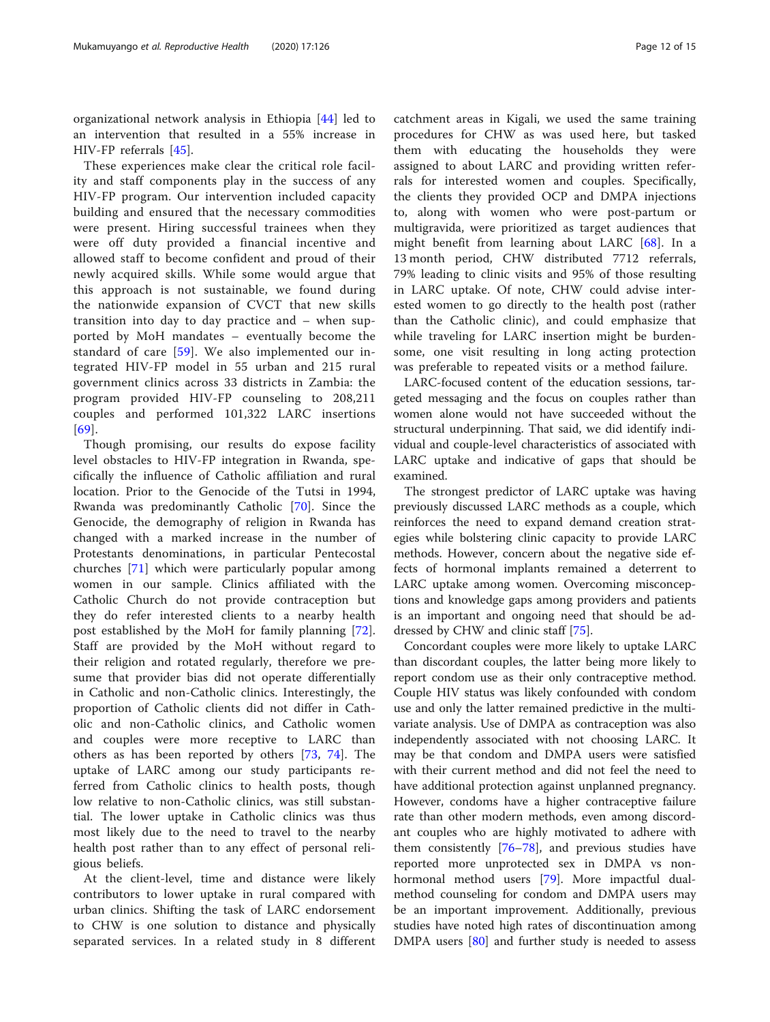organizational network analysis in Ethiopia [\[44](#page-13-0)] led to an intervention that resulted in a 55% increase in HIV-FP referrals [\[45](#page-13-0)].

These experiences make clear the critical role facility and staff components play in the success of any HIV-FP program. Our intervention included capacity building and ensured that the necessary commodities were present. Hiring successful trainees when they were off duty provided a financial incentive and allowed staff to become confident and proud of their newly acquired skills. While some would argue that this approach is not sustainable, we found during the nationwide expansion of CVCT that new skills transition into day to day practice and – when supported by MoH mandates – eventually become the standard of care [\[59](#page-14-0)]. We also implemented our integrated HIV-FP model in 55 urban and 215 rural government clinics across 33 districts in Zambia: the program provided HIV-FP counseling to 208,211 couples and performed 101,322 LARC insertions [[69](#page-14-0)].

Though promising, our results do expose facility level obstacles to HIV-FP integration in Rwanda, specifically the influence of Catholic affiliation and rural location. Prior to the Genocide of the Tutsi in 1994, Rwanda was predominantly Catholic [[70\]](#page-14-0). Since the Genocide, the demography of religion in Rwanda has changed with a marked increase in the number of Protestants denominations, in particular Pentecostal churches [[71\]](#page-14-0) which were particularly popular among women in our sample. Clinics affiliated with the Catholic Church do not provide contraception but they do refer interested clients to a nearby health post established by the MoH for family planning [\[72](#page-14-0)]. Staff are provided by the MoH without regard to their religion and rotated regularly, therefore we presume that provider bias did not operate differentially in Catholic and non-Catholic clinics. Interestingly, the proportion of Catholic clients did not differ in Catholic and non-Catholic clinics, and Catholic women and couples were more receptive to LARC than others as has been reported by others [[73,](#page-14-0) [74](#page-14-0)]. The uptake of LARC among our study participants referred from Catholic clinics to health posts, though low relative to non-Catholic clinics, was still substantial. The lower uptake in Catholic clinics was thus most likely due to the need to travel to the nearby health post rather than to any effect of personal religious beliefs.

At the client-level, time and distance were likely contributors to lower uptake in rural compared with urban clinics. Shifting the task of LARC endorsement to CHW is one solution to distance and physically separated services. In a related study in 8 different

catchment areas in Kigali, we used the same training procedures for CHW as was used here, but tasked them with educating the households they were assigned to about LARC and providing written referrals for interested women and couples. Specifically, the clients they provided OCP and DMPA injections to, along with women who were post-partum or multigravida, were prioritized as target audiences that might benefit from learning about LARC [\[68](#page-14-0)]. In a 13 month period, CHW distributed 7712 referrals, 79% leading to clinic visits and 95% of those resulting in LARC uptake. Of note, CHW could advise interested women to go directly to the health post (rather than the Catholic clinic), and could emphasize that while traveling for LARC insertion might be burdensome, one visit resulting in long acting protection was preferable to repeated visits or a method failure.

LARC-focused content of the education sessions, targeted messaging and the focus on couples rather than women alone would not have succeeded without the structural underpinning. That said, we did identify individual and couple-level characteristics of associated with LARC uptake and indicative of gaps that should be examined.

The strongest predictor of LARC uptake was having previously discussed LARC methods as a couple, which reinforces the need to expand demand creation strategies while bolstering clinic capacity to provide LARC methods. However, concern about the negative side effects of hormonal implants remained a deterrent to LARC uptake among women. Overcoming misconceptions and knowledge gaps among providers and patients is an important and ongoing need that should be addressed by CHW and clinic staff [[75](#page-14-0)].

Concordant couples were more likely to uptake LARC than discordant couples, the latter being more likely to report condom use as their only contraceptive method. Couple HIV status was likely confounded with condom use and only the latter remained predictive in the multivariate analysis. Use of DMPA as contraception was also independently associated with not choosing LARC. It may be that condom and DMPA users were satisfied with their current method and did not feel the need to have additional protection against unplanned pregnancy. However, condoms have a higher contraceptive failure rate than other modern methods, even among discordant couples who are highly motivated to adhere with them consistently [[76](#page-14-0)–[78](#page-14-0)], and previous studies have reported more unprotected sex in DMPA vs nonhormonal method users [[79\]](#page-14-0). More impactful dualmethod counseling for condom and DMPA users may be an important improvement. Additionally, previous studies have noted high rates of discontinuation among DMPA users [\[80](#page-14-0)] and further study is needed to assess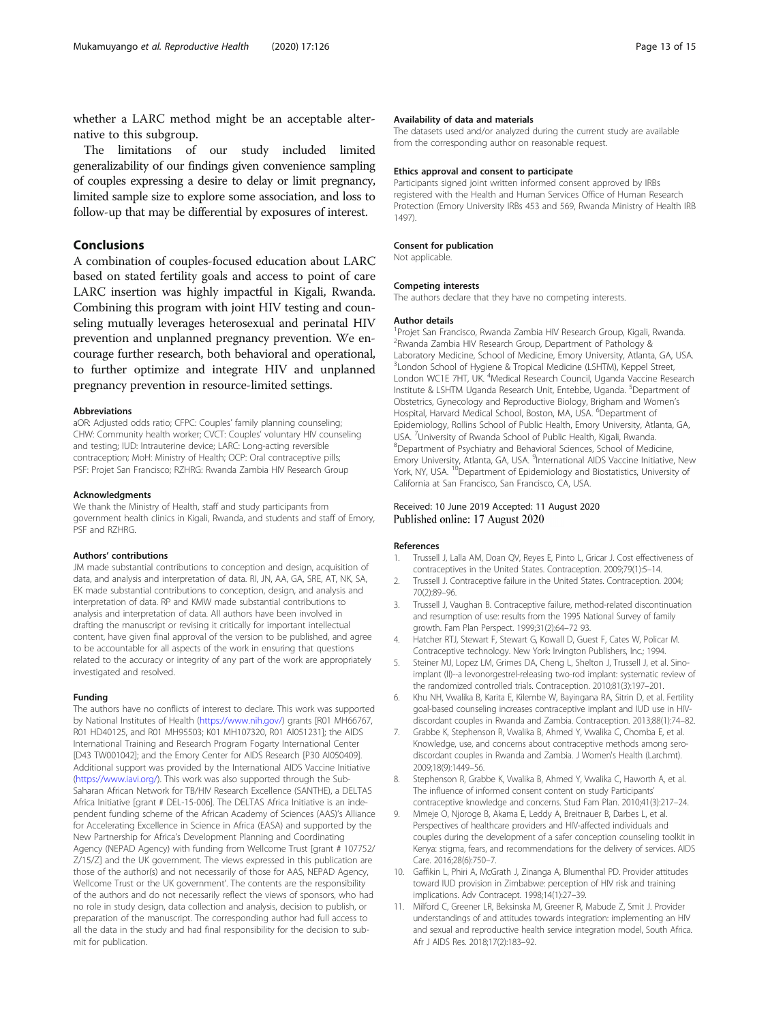<span id="page-12-0"></span>whether a LARC method might be an acceptable alternative to this subgroup.

The limitations of our study included limited generalizability of our findings given convenience sampling of couples expressing a desire to delay or limit pregnancy, limited sample size to explore some association, and loss to follow-up that may be differential by exposures of interest.

# Conclusions

A combination of couples-focused education about LARC based on stated fertility goals and access to point of care LARC insertion was highly impactful in Kigali, Rwanda. Combining this program with joint HIV testing and counseling mutually leverages heterosexual and perinatal HIV prevention and unplanned pregnancy prevention. We encourage further research, both behavioral and operational, to further optimize and integrate HIV and unplanned pregnancy prevention in resource-limited settings.

#### Abbreviations

aOR: Adjusted odds ratio; CFPC: Couples' family planning counseling; CHW: Community health worker; CVCT: Couples' voluntary HIV counseling and testing; IUD: Intrauterine device; LARC: Long-acting reversible contraception; MoH: Ministry of Health; OCP: Oral contraceptive pills; PSF: Projet San Francisco; RZHRG: Rwanda Zambia HIV Research Group

#### Acknowledgments

We thank the Ministry of Health, staff and study participants from government health clinics in Kigali, Rwanda, and students and staff of Emory, PSF and RZHRG.

#### Authors' contributions

JM made substantial contributions to conception and design, acquisition of data, and analysis and interpretation of data. RI, JN, AA, GA, SRE, AT, NK, SA, EK made substantial contributions to conception, design, and analysis and interpretation of data. RP and KMW made substantial contributions to analysis and interpretation of data. All authors have been involved in drafting the manuscript or revising it critically for important intellectual content, have given final approval of the version to be published, and agree to be accountable for all aspects of the work in ensuring that questions related to the accuracy or integrity of any part of the work are appropriately investigated and resolved.

#### Funding

The authors have no conflicts of interest to declare. This work was supported by National Institutes of Health [\(https://www.nih.gov/](https://www.nih.gov/)) grants [R01 MH66767, R01 HD40125, and R01 MH95503; K01 MH107320, R01 AI051231]; the AIDS International Training and Research Program Fogarty International Center [D43 TW001042]; and the Emory Center for AIDS Research [P30 AI050409]. Additional support was provided by the International AIDS Vaccine Initiative ([https://www.iavi.org/\)](https://www.iavi.org/). This work was also supported through the Sub-Saharan African Network for TB/HIV Research Excellence (SANTHE), a DELTAS Africa Initiative [grant # DEL-15-006]. The DELTAS Africa Initiative is an independent funding scheme of the African Academy of Sciences (AAS)'s Alliance for Accelerating Excellence in Science in Africa (EASA) and supported by the New Partnership for Africa's Development Planning and Coordinating Agency (NEPAD Agency) with funding from Wellcome Trust [grant # 107752/ Z/15/Z] and the UK government. The views expressed in this publication are those of the author(s) and not necessarily of those for AAS, NEPAD Agency, Wellcome Trust or the UK government'. The contents are the responsibility of the authors and do not necessarily reflect the views of sponsors, who had no role in study design, data collection and analysis, decision to publish, or preparation of the manuscript. The corresponding author had full access to all the data in the study and had final responsibility for the decision to submit for publication.

### Availability of data and materials

The datasets used and/or analyzed during the current study are available from the corresponding author on reasonable request.

#### Ethics approval and consent to participate

Participants signed joint written informed consent approved by IRBs registered with the Health and Human Services Office of Human Research Protection (Emory University IRBs 453 and 569, Rwanda Ministry of Health IRB 1497).

### Consent for publication

Not applicable.

#### Competing interests

The authors declare that they have no competing interests.

#### Author details

<sup>1</sup> Projet San Francisco, Rwanda Zambia HIV Research Group, Kigali, Rwanda. 2 Rwanda Zambia HIV Research Group, Department of Pathology & Laboratory Medicine, School of Medicine, Emory University, Atlanta, GA, USA. <sup>3</sup> London School of Hygiene & Tropical Medicine (LSHTM), Keppel Street, London WC1E 7HT, UK. <sup>4</sup>Medical Research Council, Uganda Vaccine Research Institute & LSHTM Uganda Research Unit, Entebbe, Uganda. <sup>5</sup>Department of Obstetrics, Gynecology and Reproductive Biology, Brigham and Women's Hospital, Harvard Medical School, Boston, MA, USA. <sup>6</sup>Department of Epidemiology, Rollins School of Public Health, Emory University, Atlanta, GA, USA. <sup>7</sup>University of Rwanda School of Public Health, Kigali, Rwanda.<br><sup>8</sup>Department of Brychiatry and Behavioral Sciences, School of Medi <sup>8</sup>Department of Psychiatry and Behavioral Sciences, School of Medicine, Emory University, Atlanta, GA, USA. <sup>9</sup>International AIDS Vaccine Initiative, New York, NY, USA. <sup>10</sup>Department of Epidemiology and Biostatistics, University of California at San Francisco, San Francisco, CA, USA.

# Received: 10 June 2019 Accepted: 11 August 2020 Published online: 17 August 2020

#### References

- Trussell J, Lalla AM, Doan QV, Reyes E, Pinto L, Gricar J. Cost effectiveness of contraceptives in the United States. Contraception. 2009;79(1):5–14.
- 2. Trussell J. Contraceptive failure in the United States. Contraception. 2004; 70(2):89–96.
- 3. Trussell J, Vaughan B. Contraceptive failure, method-related discontinuation and resumption of use: results from the 1995 National Survey of family growth. Fam Plan Perspect. 1999;31(2):64–72 93.
- 4. Hatcher RTJ, Stewart F, Stewart G, Kowall D, Guest F, Cates W, Policar M. Contraceptive technology. New York: Irvington Publishers, Inc.; 1994.
- 5. Steiner MJ, Lopez LM, Grimes DA, Cheng L, Shelton J, Trussell J, et al. Sinoimplant (II)--a levonorgestrel-releasing two-rod implant: systematic review of the randomized controlled trials. Contraception. 2010;81(3):197–201.
- 6. Khu NH, Vwalika B, Karita E, Kilembe W, Bayingana RA, Sitrin D, et al. Fertility goal-based counseling increases contraceptive implant and IUD use in HIVdiscordant couples in Rwanda and Zambia. Contraception. 2013;88(1):74–82.
- 7. Grabbe K, Stephenson R, Vwalika B, Ahmed Y, Vwalika C, Chomba E, et al. Knowledge, use, and concerns about contraceptive methods among serodiscordant couples in Rwanda and Zambia. J Women's Health (Larchmt). 2009;18(9):1449–56.
- 8. Stephenson R, Grabbe K, Vwalika B, Ahmed Y, Vwalika C, Haworth A, et al. The influence of informed consent content on study Participants' contraceptive knowledge and concerns. Stud Fam Plan. 2010;41(3):217–24.
- 9. Mmeje O, Njoroge B, Akama E, Leddy A, Breitnauer B, Darbes L, et al. Perspectives of healthcare providers and HIV-affected individuals and couples during the development of a safer conception counseling toolkit in Kenya: stigma, fears, and recommendations for the delivery of services. AIDS Care. 2016;28(6):750–7.
- 10. Gaffikin L, Phiri A, McGrath J, Zinanga A, Blumenthal PD. Provider attitudes toward IUD provision in Zimbabwe: perception of HIV risk and training implications. Adv Contracept. 1998;14(1):27–39.
- 11. Milford C, Greener LR, Beksinska M, Greener R, Mabude Z, Smit J. Provider understandings of and attitudes towards integration: implementing an HIV and sexual and reproductive health service integration model, South Africa. Afr J AIDS Res. 2018;17(2):183–92.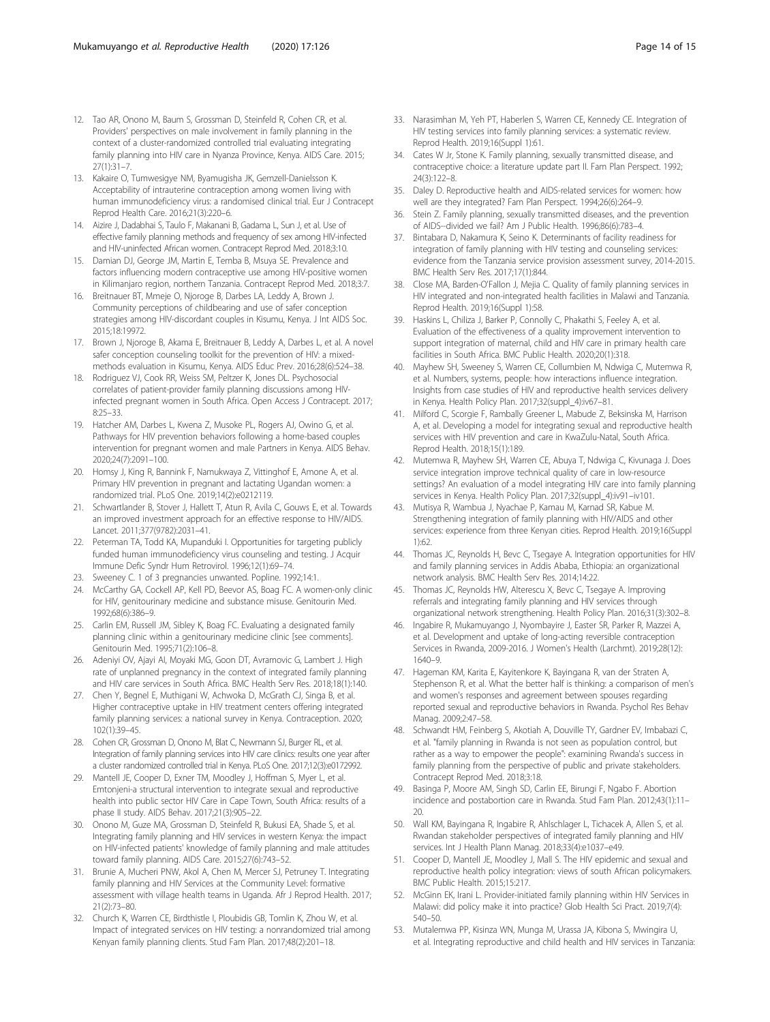- <span id="page-13-0"></span>12. Tao AR, Onono M, Baum S, Grossman D, Steinfeld R, Cohen CR, et al. Providers' perspectives on male involvement in family planning in the context of a cluster-randomized controlled trial evaluating integrating family planning into HIV care in Nyanza Province, Kenya. AIDS Care. 2015; 27(1):31–7.
- 13. Kakaire O, Tumwesigye NM, Byamugisha JK, Gemzell-Danielsson K. Acceptability of intrauterine contraception among women living with human immunodeficiency virus: a randomised clinical trial. Eur J Contracept Reprod Health Care. 2016;21(3):220–6.
- 14. Aizire J, Dadabhai S, Taulo F, Makanani B, Gadama L, Sun J, et al. Use of effective family planning methods and frequency of sex among HIV-infected and HIV-uninfected African women. Contracept Reprod Med. 2018;3:10.
- 15. Damian DJ, George JM, Martin E, Temba B, Msuya SE. Prevalence and factors influencing modern contraceptive use among HIV-positive women in Kilimanjaro region, northern Tanzania. Contracept Reprod Med. 2018;3:7.
- 16. Breitnauer BT, Mmeje O, Njoroge B, Darbes LA, Leddy A, Brown J. Community perceptions of childbearing and use of safer conception strategies among HIV-discordant couples in Kisumu, Kenya. J Int AIDS Soc. 2015;18:19972.
- 17. Brown J, Njoroge B, Akama E, Breitnauer B, Leddy A, Darbes L, et al. A novel safer conception counseling toolkit for the prevention of HIV: a mixedmethods evaluation in Kisumu, Kenya. AIDS Educ Prev. 2016;28(6):524–38.
- 18. Rodriguez VJ, Cook RR, Weiss SM, Peltzer K, Jones DL. Psychosocial correlates of patient-provider family planning discussions among HIVinfected pregnant women in South Africa. Open Access J Contracept. 2017; 8:25–33.
- 19. Hatcher AM, Darbes L, Kwena Z, Musoke PL, Rogers AJ, Owino G, et al. Pathways for HIV prevention behaviors following a home-based couples intervention for pregnant women and male Partners in Kenya. AIDS Behav. 2020;24(7):2091–100.
- 20. Homsy J, King R, Bannink F, Namukwaya Z, Vittinghof E, Amone A, et al. Primary HIV prevention in pregnant and lactating Ugandan women: a randomized trial. PLoS One. 2019;14(2):e0212119.
- 21. Schwartlander B, Stover J, Hallett T, Atun R, Avila C, Gouws E, et al. Towards an improved investment approach for an effective response to HIV/AIDS. Lancet. 2011;377(9782):2031–41.
- 22. Peterman TA, Todd KA, Mupanduki I. Opportunities for targeting publicly funded human immunodeficiency virus counseling and testing. J Acquir Immune Defic Syndr Hum Retrovirol. 1996;12(1):69–74.
- 23. Sweeney C. 1 of 3 pregnancies unwanted. Popline. 1992;14:1.
- 24. McCarthy GA, Cockell AP, Kell PD, Beevor AS, Boag FC. A women-only clinic for HIV, genitourinary medicine and substance misuse. Genitourin Med. 1992;68(6):386–9.
- 25. Carlin EM, Russell JM, Sibley K, Boag FC. Evaluating a designated family planning clinic within a genitourinary medicine clinic [see comments]. Genitourin Med. 1995;71(2):106–8.
- 26. Adeniyi OV, Ajayi AI, Moyaki MG, Goon DT, Avramovic G, Lambert J. High rate of unplanned pregnancy in the context of integrated family planning and HIV care services in South Africa. BMC Health Serv Res. 2018;18(1):140.
- 27. Chen Y, Begnel E, Muthigani W, Achwoka D, McGrath CJ, Singa B, et al. Higher contraceptive uptake in HIV treatment centers offering integrated family planning services: a national survey in Kenya. Contraception. 2020; 102(1):39–45.
- 28. Cohen CR, Grossman D, Onono M, Blat C, Newmann SJ, Burger RL, et al. Integration of family planning services into HIV care clinics: results one year after a cluster randomized controlled trial in Kenya. PLoS One. 2017;12(3):e0172992.
- 29. Mantell JE, Cooper D, Exner TM, Moodley J, Hoffman S, Myer L, et al. Emtonjeni-a structural intervention to integrate sexual and reproductive health into public sector HIV Care in Cape Town, South Africa: results of a phase II study. AIDS Behav. 2017;21(3):905–22.
- 30. Onono M, Guze MA, Grossman D, Steinfeld R, Bukusi EA, Shade S, et al. Integrating family planning and HIV services in western Kenya: the impact on HIV-infected patients' knowledge of family planning and male attitudes toward family planning. AIDS Care. 2015;27(6):743–52.
- 31. Brunie A, Mucheri PNW, Akol A, Chen M, Mercer SJ, Petruney T. Integrating family planning and HIV Services at the Community Level: formative assessment with village health teams in Uganda. Afr J Reprod Health. 2017; 21(2):73–80.
- 32. Church K, Warren CE, Birdthistle I, Ploubidis GB, Tomlin K, Zhou W, et al. Impact of integrated services on HIV testing: a nonrandomized trial among Kenyan family planning clients. Stud Fam Plan. 2017;48(2):201–18.
- 33. Narasimhan M, Yeh PT, Haberlen S, Warren CE, Kennedy CE. Integration of HIV testing services into family planning services: a systematic review. Reprod Health. 2019;16(Suppl 1):61.
- 34. Cates W Jr, Stone K. Family planning, sexually transmitted disease, and contraceptive choice: a literature update part II. Fam Plan Perspect. 1992; 24(3):122–8.
- 35. Daley D. Reproductive health and AIDS-related services for women: how well are they integrated? Fam Plan Perspect. 1994;26(6):264–9.
- 36. Stein Z. Family planning, sexually transmitted diseases, and the prevention of AIDS--divided we fail? Am J Public Health. 1996;86(6):783–4.
- 37. Bintabara D, Nakamura K, Seino K. Determinants of facility readiness for integration of family planning with HIV testing and counseling services: evidence from the Tanzania service provision assessment survey, 2014-2015. BMC Health Serv Res. 2017;17(1):844.
- 38. Close MA, Barden-O'Fallon J, Mejia C. Quality of family planning services in HIV integrated and non-integrated health facilities in Malawi and Tanzania. Reprod Health. 2019;16(Suppl 1):58.
- 39. Haskins L, Chiliza J, Barker P, Connolly C, Phakathi S, Feeley A, et al. Evaluation of the effectiveness of a quality improvement intervention to support integration of maternal, child and HIV care in primary health care facilities in South Africa. BMC Public Health. 2020;20(1):318.
- 40. Mayhew SH, Sweeney S, Warren CE, Collumbien M, Ndwiga C, Mutemwa R, et al. Numbers, systems, people: how interactions influence integration. Insights from case studies of HIV and reproductive health services delivery in Kenya. Health Policy Plan. 2017;32(suppl\_4):iv67–81.
- 41. Milford C, Scorgie F, Rambally Greener L, Mabude Z, Beksinska M, Harrison A, et al. Developing a model for integrating sexual and reproductive health services with HIV prevention and care in KwaZulu-Natal, South Africa. Reprod Health. 2018;15(1):189.
- 42. Mutemwa R, Mayhew SH, Warren CE, Abuya T, Ndwiga C, Kivunaga J. Does service integration improve technical quality of care in low-resource settings? An evaluation of a model integrating HIV care into family planning services in Kenya. Health Policy Plan. 2017;32(suppl\_4):iv91–iv101.
- 43. Mutisya R, Wambua J, Nyachae P, Kamau M, Karnad SR, Kabue M. Strengthening integration of family planning with HIV/AIDS and other services: experience from three Kenyan cities. Reprod Health. 2019;16(Suppl 1):62.
- 44. Thomas JC, Reynolds H, Bevc C, Tsegaye A. Integration opportunities for HIV and family planning services in Addis Ababa, Ethiopia: an organizational network analysis. BMC Health Serv Res. 2014;14:22.
- 45. Thomas JC, Reynolds HW, Alterescu X, Bevc C, Tsegaye A. Improving referrals and integrating family planning and HIV services through organizational network strengthening. Health Policy Plan. 2016;31(3):302–8.
- 46. Ingabire R, Mukamuyango J, Nyombayire J, Easter SR, Parker R, Mazzei A, et al. Development and uptake of long-acting reversible contraception Services in Rwanda, 2009-2016. J Women's Health (Larchmt). 2019;28(12): 1640–9.
- 47. Hageman KM, Karita E, Kayitenkore K, Bayingana R, van der Straten A, Stephenson R, et al. What the better half is thinking: a comparison of men's and women's responses and agreement between spouses regarding reported sexual and reproductive behaviors in Rwanda. Psychol Res Behav Manag. 2009;2:47–58.
- 48. Schwandt HM, Feinberg S, Akotiah A, Douville TY, Gardner EV, Imbabazi C, et al. "family planning in Rwanda is not seen as population control, but rather as a way to empower the people": examining Rwanda's success in family planning from the perspective of public and private stakeholders. Contracept Reprod Med. 2018;3:18.
- 49. Basinga P, Moore AM, Singh SD, Carlin EE, Birungi F, Ngabo F. Abortion incidence and postabortion care in Rwanda. Stud Fam Plan. 2012;43(1):11– 20.
- 50. Wall KM, Bayingana R, Ingabire R, Ahlschlager L, Tichacek A, Allen S, et al. Rwandan stakeholder perspectives of integrated family planning and HIV services. Int J Health Plann Manag. 2018;33(4):e1037–e49.
- 51. Cooper D, Mantell JE, Moodley J, Mall S. The HIV epidemic and sexual and reproductive health policy integration: views of south African policymakers. BMC Public Health. 2015;15:217.
- 52. McGinn EK, Irani L. Provider-initiated family planning within HIV Services in Malawi: did policy make it into practice? Glob Health Sci Pract. 2019;7(4): 540–50.
- 53. Mutalemwa PP, Kisinza WN, Munga M, Urassa JA, Kibona S, Mwingira U, et al. Integrating reproductive and child health and HIV services in Tanzania: